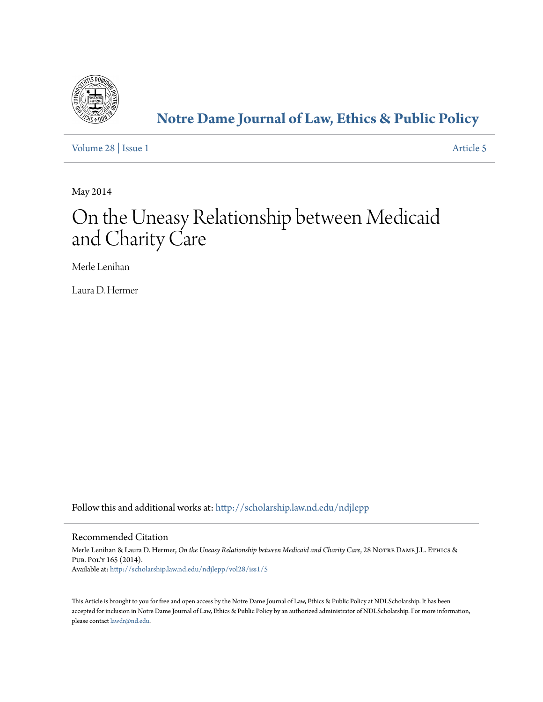

# **[Notre Dame Journal of Law, Ethics & Public Policy](http://scholarship.law.nd.edu/ndjlepp?utm_source=scholarship.law.nd.edu%2Fndjlepp%2Fvol28%2Fiss1%2F5&utm_medium=PDF&utm_campaign=PDFCoverPages)**

[Volume 28](http://scholarship.law.nd.edu/ndjlepp/vol28?utm_source=scholarship.law.nd.edu%2Fndjlepp%2Fvol28%2Fiss1%2F5&utm_medium=PDF&utm_campaign=PDFCoverPages) | [Issue 1](http://scholarship.law.nd.edu/ndjlepp/vol28/iss1?utm_source=scholarship.law.nd.edu%2Fndjlepp%2Fvol28%2Fiss1%2F5&utm_medium=PDF&utm_campaign=PDFCoverPages) [Article 5](http://scholarship.law.nd.edu/ndjlepp/vol28/iss1/5?utm_source=scholarship.law.nd.edu%2Fndjlepp%2Fvol28%2Fiss1%2F5&utm_medium=PDF&utm_campaign=PDFCoverPages)

May 2014

# On the Uneasy Relationship between Medicaid and Charity Care

Merle Lenihan

Laura D. Hermer

Follow this and additional works at: [http://scholarship.law.nd.edu/ndjlepp](http://scholarship.law.nd.edu/ndjlepp?utm_source=scholarship.law.nd.edu%2Fndjlepp%2Fvol28%2Fiss1%2F5&utm_medium=PDF&utm_campaign=PDFCoverPages)

### Recommended Citation

Merle Lenihan & Laura D. Hermer, *On the Uneasy Relationship between Medicaid and Charity Care*, 28 Notre Dame J.L. Ethics & Pub. Pol'y 165 (2014). Available at: [http://scholarship.law.nd.edu/ndjlepp/vol28/iss1/5](http://scholarship.law.nd.edu/ndjlepp/vol28/iss1/5?utm_source=scholarship.law.nd.edu%2Fndjlepp%2Fvol28%2Fiss1%2F5&utm_medium=PDF&utm_campaign=PDFCoverPages)

This Article is brought to you for free and open access by the Notre Dame Journal of Law, Ethics & Public Policy at NDLScholarship. It has been accepted for inclusion in Notre Dame Journal of Law, Ethics & Public Policy by an authorized administrator of NDLScholarship. For more information, please contact [lawdr@nd.edu](mailto:lawdr@nd.edu).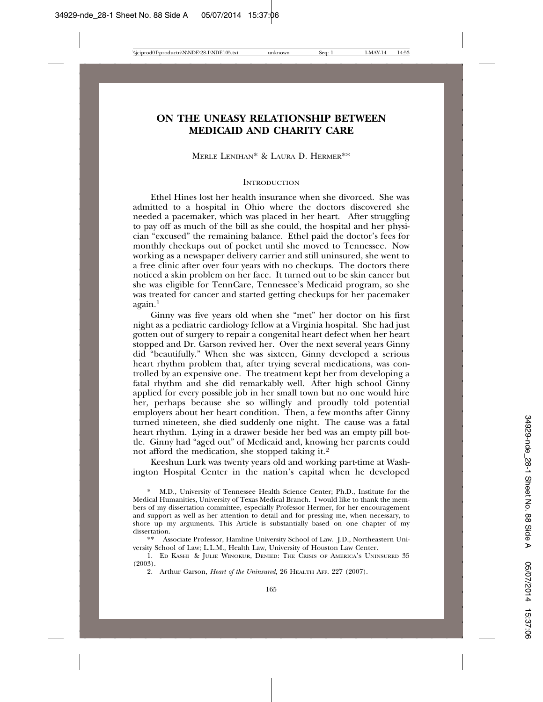## **ON THE UNEASY RELATIONSHIP BETWEEN MEDICAID AND CHARITY CARE**

MERLE LENIHAN\* & LAURA D. HERMER\*\*

#### **INTRODUCTION**

Ethel Hines lost her health insurance when she divorced. She was admitted to a hospital in Ohio where the doctors discovered she needed a pacemaker, which was placed in her heart. After struggling to pay off as much of the bill as she could, the hospital and her physician "excused" the remaining balance. Ethel paid the doctor's fees for monthly checkups out of pocket until she moved to Tennessee. Now working as a newspaper delivery carrier and still uninsured, she went to a free clinic after over four years with no checkups. The doctors there noticed a skin problem on her face. It turned out to be skin cancer but she was eligible for TennCare, Tennessee's Medicaid program, so she was treated for cancer and started getting checkups for her pacemaker again.<sup>1</sup>

Ginny was five years old when she "met" her doctor on his first night as a pediatric cardiology fellow at a Virginia hospital. She had just gotten out of surgery to repair a congenital heart defect when her heart stopped and Dr. Garson revived her. Over the next several years Ginny did "beautifully." When she was sixteen, Ginny developed a serious heart rhythm problem that, after trying several medications, was controlled by an expensive one. The treatment kept her from developing a fatal rhythm and she did remarkably well. After high school Ginny applied for every possible job in her small town but no one would hire her, perhaps because she so willingly and proudly told potential employers about her heart condition. Then, a few months after Ginny turned nineteen, she died suddenly one night. The cause was a fatal heart rhythm. Lying in a drawer beside her bed was an empty pill bottle. Ginny had "aged out" of Medicaid and, knowing her parents could not afford the medication, she stopped taking it.2

Keeshun Lurk was twenty years old and working part-time at Washington Hospital Center in the nation's capital when he developed

<sup>\*</sup> M.D., University of Tennessee Health Science Center; Ph.D., Institute for the Medical Humanities, University of Texas Medical Branch. I would like to thank the members of my dissertation committee, especially Professor Hermer, for her encouragement and support as well as her attention to detail and for pressing me, when necessary, to shore up my arguments. This Article is substantially based on one chapter of my dissertation.

<sup>\*\*</sup> Associate Professor, Hamline University School of Law. J.D., Northeastern University School of Law; L.L.M., Health Law, University of Houston Law Center.

<sup>1.</sup> ED KASHI & JULIE WINOKUR, DENIED: THE CRISIS OF AMERICA'S UNINSURED 35 (2003).

<sup>2.</sup> Arthur Garson, *Heart of the Uninsured*, 26 HEALTH AFF. 227 (2007).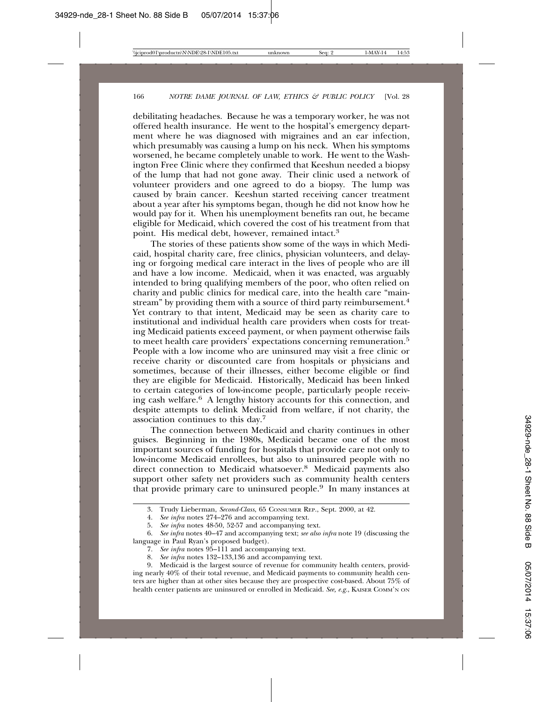debilitating headaches. Because he was a temporary worker, he was not offered health insurance. He went to the hospital's emergency department where he was diagnosed with migraines and an ear infection, which presumably was causing a lump on his neck. When his symptoms worsened, he became completely unable to work. He went to the Washington Free Clinic where they confirmed that Keeshun needed a biopsy of the lump that had not gone away. Their clinic used a network of volunteer providers and one agreed to do a biopsy. The lump was caused by brain cancer. Keeshun started receiving cancer treatment about a year after his symptoms began, though he did not know how he would pay for it. When his unemployment benefits ran out, he became eligible for Medicaid, which covered the cost of his treatment from that point. His medical debt, however, remained intact.3

The stories of these patients show some of the ways in which Medicaid, hospital charity care, free clinics, physician volunteers, and delaying or forgoing medical care interact in the lives of people who are ill and have a low income. Medicaid, when it was enacted, was arguably intended to bring qualifying members of the poor, who often relied on charity and public clinics for medical care, into the health care "mainstream" by providing them with a source of third party reimbursement.<sup>4</sup> Yet contrary to that intent, Medicaid may be seen as charity care to institutional and individual health care providers when costs for treating Medicaid patients exceed payment, or when payment otherwise fails to meet health care providers' expectations concerning remuneration.<sup>5</sup> People with a low income who are uninsured may visit a free clinic or receive charity or discounted care from hospitals or physicians and sometimes, because of their illnesses, either become eligible or find they are eligible for Medicaid. Historically, Medicaid has been linked to certain categories of low-income people, particularly people receiving cash welfare.6 A lengthy history accounts for this connection, and despite attempts to delink Medicaid from welfare, if not charity, the association continues to this day.7

The connection between Medicaid and charity continues in other guises. Beginning in the 1980s, Medicaid became one of the most important sources of funding for hospitals that provide care not only to low-income Medicaid enrollees, but also to uninsured people with no direct connection to Medicaid whatsoever.<sup>8</sup> Medicaid payments also support other safety net providers such as community health centers that provide primary care to uninsured people.9 In many instances at

- 7. *See infra* notes 95–111 and accompanying text.
- 8. *See infra* notes 132–133,136 and accompanying text.

9. Medicaid is the largest source of revenue for community health centers, providing nearly 40% of their total revenue, and Medicaid payments to community health centers are higher than at other sites because they are prospective cost-based. About 75% of health center patients are uninsured or enrolled in Medicaid. *See, e.g.*, KAISER COMM'N ON

<sup>3.</sup> Trudy Lieberman, *Second-Class*, 65 CONSUMER REP., Sept. 2000, at 42.

<sup>4.</sup> *See infra* notes 274–276 and accompanying text.

<sup>5.</sup> *See infra* notes 48-50, 52-57 and accompanying text.

<sup>6.</sup> *See infra* notes 40–47 and accompanying text; *see also infra* note 19 (discussing the language in Paul Ryan's proposed budget).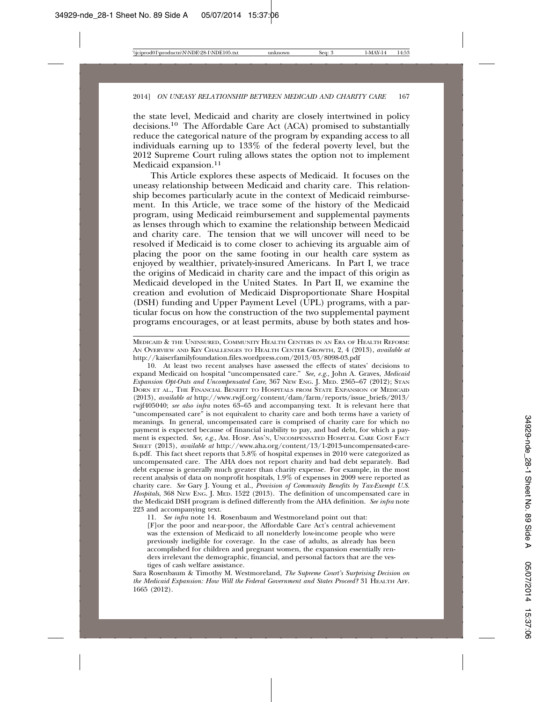the state level, Medicaid and charity are closely intertwined in policy decisions.10 The Affordable Care Act (ACA) promised to substantially reduce the categorical nature of the program by expanding access to all individuals earning up to 133% of the federal poverty level, but the 2012 Supreme Court ruling allows states the option not to implement Medicaid expansion.11

This Article explores these aspects of Medicaid. It focuses on the uneasy relationship between Medicaid and charity care. This relationship becomes particularly acute in the context of Medicaid reimbursement. In this Article, we trace some of the history of the Medicaid program, using Medicaid reimbursement and supplemental payments as lenses through which to examine the relationship between Medicaid and charity care. The tension that we will uncover will need to be resolved if Medicaid is to come closer to achieving its arguable aim of placing the poor on the same footing in our health care system as enjoyed by wealthier, privately-insured Americans. In Part I, we trace the origins of Medicaid in charity care and the impact of this origin as Medicaid developed in the United States. In Part II, we examine the creation and evolution of Medicaid Disproportionate Share Hospital (DSH) funding and Upper Payment Level (UPL) programs, with a particular focus on how the construction of the two supplemental payment programs encourages, or at least permits, abuse by both states and hos-

10. At least two recent analyses have assessed the effects of states' decisions to expand Medicaid on hospital "uncompensated care." *See, e.g.*, John A. Graves, *Medicaid Expansion Opt-Outs and Uncompensated Care*, 367 NEW ENG. J. MED. 2365–67 (2012); STAN DORN ET AL., THE FINANCIAL BENEFIT TO HOSPITALS FROM STATE EXPANSION OF MEDICAID (2013), *available at* http://www.rwjf.org/content/dam/farm/reports/issue\_briefs/2013/ rwjf405040; *see also infra* notes 63–65 and accompanying text. It is relevant here that "uncompensated care" is not equivalent to charity care and both terms have a variety of meanings. In general, uncompensated care is comprised of charity care for which no payment is expected because of financial inability to pay, and bad debt, for which a payment is expected. *See, e.g.*, AM. HOSP. ASS'N, UNCOMPENSATED HOSPITAL CARE COST FACT SHEET (2013), *available at* http://www.aha.org/content/13/1-2013-uncompensated-carefs.pdf. This fact sheet reports that 5.8% of hospital expenses in 2010 were categorized as uncompensated care. The AHA does not report charity and bad debt separately. Bad debt expense is generally much greater than charity expense. For example, in the most recent analysis of data on nonprofit hospitals, 1.9% of expenses in 2009 were reported as charity care. *See* Gary J. Young et al., *Provision of Community Benefits by Tax-Exempt U.S. Hospitals*, 368 NEW ENG. J. MED. 1522 (2013). The definition of uncompensated care in the Medicaid DSH program is defined differently from the AHA definition. *See infra* note 223 and accompanying text.

11. *See infra* note 14. Rosenbaum and Westmoreland point out that:

[F]or the poor and near-poor, the Affordable Care Act's central achievement was the extension of Medicaid to all nonelderly low-income people who were previously ineligible for coverage. In the case of adults, as already has been accomplished for children and pregnant women, the expansion essentially renders irrelevant the demographic, financial, and personal factors that are the vestiges of cash welfare assistance.

Sara Rosenbaum & Timothy M. Westmoreland, *The Supreme Court's Surprising Decision on the Medicaid Expansion: How Will the Federal Government and States Proceed?* 31 HEALTH AFF. 1665 (2012).

MEDICAID & THE UNINSURED, COMMUNITY HEALTH CENTERS IN AN ERA OF HEALTH REFORM: AN OVERVIEW AND KEY CHALLENGES TO HEALTH CENTER GROWTH, 2, 4 (2013), *available at* http://kaiserfamilyfoundation.files.wordpress.com/2013/03/8098-03.pdf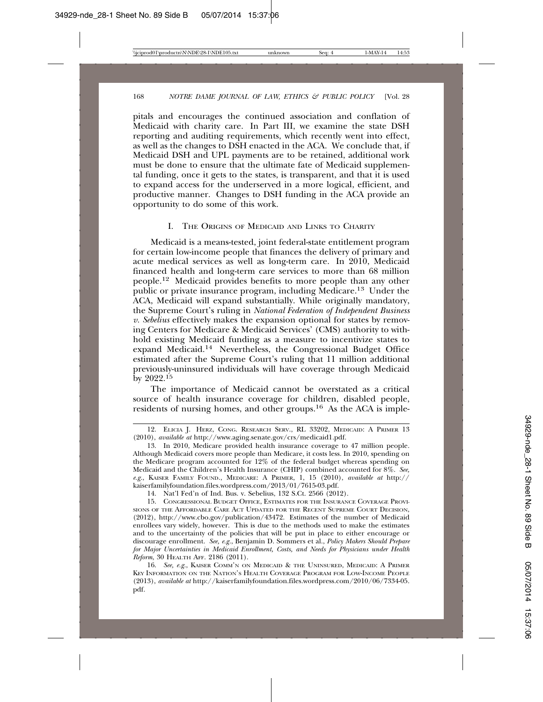pitals and encourages the continued association and conflation of Medicaid with charity care. In Part III, we examine the state DSH reporting and auditing requirements, which recently went into effect, as well as the changes to DSH enacted in the ACA. We conclude that, if Medicaid DSH and UPL payments are to be retained, additional work must be done to ensure that the ultimate fate of Medicaid supplemental funding, once it gets to the states, is transparent, and that it is used to expand access for the underserved in a more logical, efficient, and productive manner. Changes to DSH funding in the ACA provide an opportunity to do some of this work.

#### I. THE ORIGINS OF MEDICAID AND LINKS TO CHARITY

Medicaid is a means-tested, joint federal-state entitlement program for certain low-income people that finances the delivery of primary and acute medical services as well as long-term care. In 2010, Medicaid financed health and long-term care services to more than 68 million people.12 Medicaid provides benefits to more people than any other public or private insurance program, including Medicare.13 Under the ACA, Medicaid will expand substantially. While originally mandatory, the Supreme Court's ruling in *National Federation of Independent Business v. Sebelius* effectively makes the expansion optional for states by removing Centers for Medicare & Medicaid Services' (CMS) authority to withhold existing Medicaid funding as a measure to incentivize states to expand Medicaid.14 Nevertheless, the Congressional Budget Office estimated after the Supreme Court's ruling that 11 million additional previously-uninsured individuals will have coverage through Medicaid by 2022.<sup>15</sup>

The importance of Medicaid cannot be overstated as a critical source of health insurance coverage for children, disabled people, residents of nursing homes, and other groups.16 As the ACA is imple-

14. Nat'l Fed'n of Ind. Bus. v. Sebelius, 132 S.Ct. 2566 (2012).

<sup>12.</sup> ELICIA J. HERZ, CONG. RESEARCH SERV., RL 33202, MEDICAID: A PRIMER 13 (2010), *available at* http://www.aging.senate.gov/crs/medicaid1.pdf.

<sup>13.</sup> In 2010, Medicare provided health insurance coverage to 47 million people. Although Medicaid covers more people than Medicare, it costs less. In 2010, spending on the Medicare program accounted for 12% of the federal budget whereas spending on Medicaid and the Children's Health Insurance (CHIP) combined accounted for 8%. *See, e.g.*, KAISER FAMILY FOUND., MEDICARE: A PRIMER, 1, 15 (2010), *available at* http:// kaiserfamilyfoundation.files.wordpress.com/2013/01/7615-03.pdf.

<sup>15.</sup> CONGRESSIONAL BUDGET OFFICE, ESTIMATES FOR THE INSURANCE COVERAGE PROVI-SIONS OF THE AFFORDABLE CARE ACT UPDATED FOR THE RECENT SUPREME COURT DECISION, (2012), http://www.cbo.gov/publication/43472. Estimates of the number of Medicaid enrollees vary widely, however. This is due to the methods used to make the estimates and to the uncertainty of the policies that will be put in place to either encourage or discourage enrollment. *See, e.g.*, Benjamin D. Sommers et al., *Policy Makers Should Prepare for Major Uncertainties in Medicaid Enrollment, Costs, and Needs for Physicians under Health Reform*, 30 HEALTH AFF. 2186 (2011).

<sup>16.</sup> *See, e.g.*, KAISER COMM'N ON MEDICAID & THE UNINSURED, MEDICAID: A PRIMER KEY INFORMATION ON THE NATION'S HEALTH COVERAGE PROGRAM FOR LOW-INCOME PEOPLE (2013), *available at* http://kaiserfamilyfoundation.files.wordpress.com/2010/06/7334-05. pdf.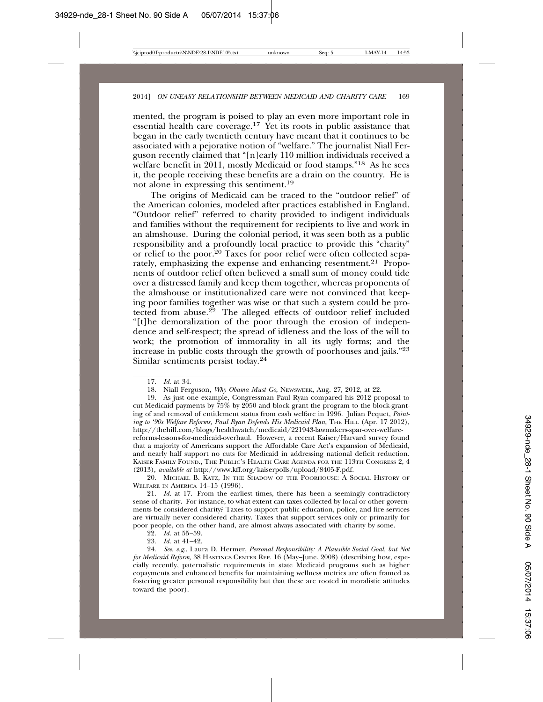mented, the program is poised to play an even more important role in essential health care coverage.<sup>17</sup> Yet its roots in public assistance that began in the early twentieth century have meant that it continues to be associated with a pejorative notion of "welfare." The journalist Niall Ferguson recently claimed that "[n]early 110 million individuals received a welfare benefit in 2011, mostly Medicaid or food stamps."<sup>18</sup> As he sees it, the people receiving these benefits are a drain on the country. He is not alone in expressing this sentiment.19

The origins of Medicaid can be traced to the "outdoor relief" of the American colonies, modeled after practices established in England. "Outdoor relief" referred to charity provided to indigent individuals and families without the requirement for recipients to live and work in an almshouse. During the colonial period, it was seen both as a public responsibility and a profoundly local practice to provide this "charity" or relief to the poor.20 Taxes for poor relief were often collected separately, emphasizing the expense and enhancing resentment.<sup>21</sup> Proponents of outdoor relief often believed a small sum of money could tide over a distressed family and keep them together, whereas proponents of the almshouse or institutionalized care were not convinced that keeping poor families together was wise or that such a system could be protected from abuse.<sup>22</sup> The alleged effects of outdoor relief included "[t]he demoralization of the poor through the erosion of independence and self-respect; the spread of idleness and the loss of the will to work; the promotion of immorality in all its ugly forms; and the increase in public costs through the growth of poorhouses and jails."23 Similar sentiments persist today.24

19. As just one example, Congressman Paul Ryan compared his 2012 proposal to cut Medicaid payments by 75% by 2050 and block grant the program to the block-granting of and removal of entitlement status from cash welfare in 1996. Julian Pequet, *Point*ing to '90s Welfare Reforms, Paul Ryan Defends His Medicaid Plan, THE HILL (Apr. 17 2012), http://thehill.com/blogs/healthwatch/medicaid/221943-lawmakers-spar-over-welfarereforms-lessons-for-medicaid-overhaul. However, a recent Kaiser/Harvard survey found that a majority of Americans support the Affordable Care Act's expansion of Medicaid, and nearly half support no cuts for Medicaid in addressing national deficit reduction. KAISER FAMILY FOUND., THE PUBLIC'S HEALTH CARE AGENDA FOR THE 113TH CONGRESS 2, 4 (2013), *available at* http://www.kff.org/kaiserpolls/upload/8405-F.pdf.

20. MICHAEL B. KATZ, IN THE SHADOW OF THE POORHOUSE: A SOCIAL HISTORY OF WELFARE IN AMERICA 14–15 (1996).

21. *Id.* at 17. From the earliest times, there has been a seemingly contradictory sense of charity. For instance, to what extent can taxes collected by local or other governments be considered charity? Taxes to support public education, police, and fire services are virtually never considered charity. Taxes that support services only or primarily for poor people, on the other hand, are almost always associated with charity by some.

22. *Id.* at 55–59.

23. *Id.* at 41–42.

24. *See, e.g.*, Laura D. Hermer, *Personal Responsibility: A Plausible Social Goal, but Not for Medicaid Reform,* 38 HASTINGS CENTER REP. 16 (May–June, 2008) (describing how, especially recently, paternalistic requirements in state Medicaid programs such as higher copayments and enhanced benefits for maintaining wellness metrics are often framed as fostering greater personal responsibility but that these are rooted in moralistic attitudes toward the poor).

<sup>17.</sup> *Id*. at 34.

<sup>18.</sup> Niall Ferguson, *Why Obama Must Go*, NEWSWEEK, Aug. 27, 2012, at 22.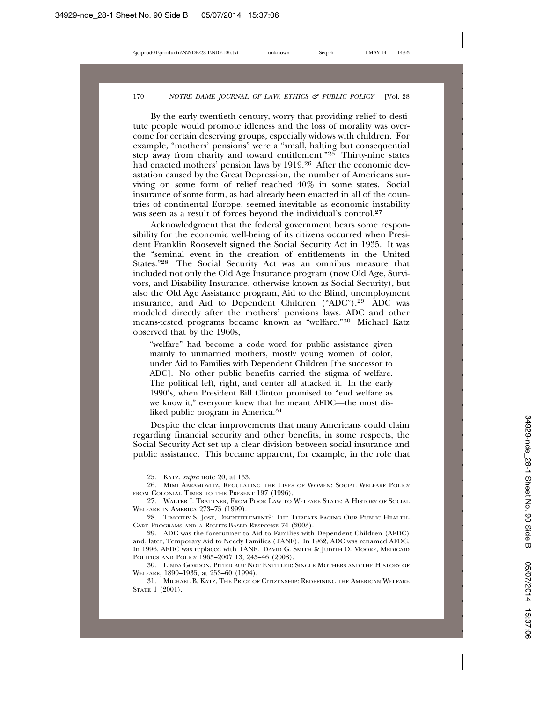By the early twentieth century, worry that providing relief to destitute people would promote idleness and the loss of morality was overcome for certain deserving groups, especially widows with children. For example, "mothers' pensions" were a "small, halting but consequential step away from charity and toward entitlement." $25$  Thirty-nine states had enacted mothers' pension laws by 1919.26 After the economic devastation caused by the Great Depression, the number of Americans surviving on some form of relief reached 40% in some states. Social insurance of some form, as had already been enacted in all of the countries of continental Europe, seemed inevitable as economic instability was seen as a result of forces beyond the individual's control.<sup>27</sup>

Acknowledgment that the federal government bears some responsibility for the economic well-being of its citizens occurred when President Franklin Roosevelt signed the Social Security Act in 1935. It was the "seminal event in the creation of entitlements in the United States."28 The Social Security Act was an omnibus measure that included not only the Old Age Insurance program (now Old Age, Survivors, and Disability Insurance, otherwise known as Social Security), but also the Old Age Assistance program, Aid to the Blind, unemployment insurance, and Aid to Dependent Children ("ADC").29 ADC was modeled directly after the mothers' pensions laws. ADC and other means-tested programs became known as "welfare."30 Michael Katz observed that by the 1960s,

"welfare" had become a code word for public assistance given mainly to unmarried mothers, mostly young women of color, under Aid to Families with Dependent Children [the successor to ADC]. No other public benefits carried the stigma of welfare. The political left, right, and center all attacked it. In the early 1990's, when President Bill Clinton promised to "end welfare as we know it," everyone knew that he meant AFDC—the most disliked public program in America.<sup>31</sup>

Despite the clear improvements that many Americans could claim regarding financial security and other benefits, in some respects, the Social Security Act set up a clear division between social insurance and public assistance. This became apparent, for example, in the role that

<sup>25.</sup> KATZ, *supra* note 20, at 133.

<sup>26.</sup> MIMI ABRAMOVITZ, REGULATING THE LIVES OF WOMEN: SOCIAL WELFARE POLICY FROM COLONIAL TIMES TO THE PRESENT 197 (1996).

<sup>27.</sup> WALTER I. TRATTNER, FROM POOR LAW TO WELFARE STATE: A HISTORY OF SOCIAL WELFARE IN AMERICA 273–75 (1999).

<sup>28.</sup> TIMOTHY S. JOST, DISENTITLEMENT?: THE THREATS FACING OUR PUBLIC HEALTH-CARE PROGRAMS AND A RIGHTS-BASED RESPONSE 74 (2003).

<sup>29.</sup> ADC was the forerunner to Aid to Families with Dependent Children (AFDC) and, later, Temporary Aid to Needy Families (TANF). In 1962, ADC was renamed AFDC. In 1996, AFDC was replaced with TANF. DAVID G. SMITH & JUDITH D. MOORE, MEDICAID POLITICS AND POLICY 1965–2007 13, 245–46 (2008).

<sup>30.</sup> LINDA GORDON, PITIED BUT NOT ENTITLED: SINGLE MOTHERS AND THE HISTORY OF WELFARE, 1890–1935, at 253–60 (1994).

<sup>31.</sup> MICHAEL B. KATZ, THE PRICE OF CITIZENSHIP: REDEFINING THE AMERICAN WELFARE STATE 1 (2001).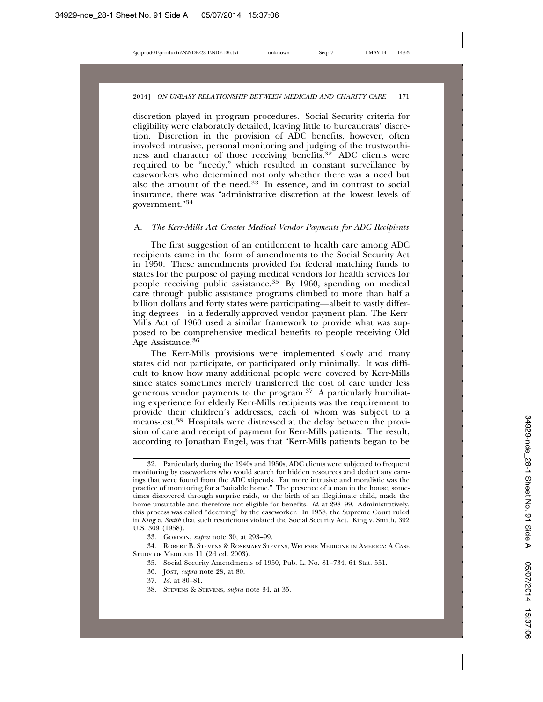discretion played in program procedures. Social Security criteria for eligibility were elaborately detailed, leaving little to bureaucrats' discretion. Discretion in the provision of ADC benefits, however, often involved intrusive, personal monitoring and judging of the trustworthiness and character of those receiving benefits.<sup>32</sup> ADC clients were required to be "needy," which resulted in constant surveillance by caseworkers who determined not only whether there was a need but also the amount of the need.33 In essence, and in contrast to social insurance, there was "administrative discretion at the lowest levels of government."<sup>34</sup>

#### A. *The Kerr-Mills Act Creates Medical Vendor Payments for ADC Recipients*

The first suggestion of an entitlement to health care among ADC recipients came in the form of amendments to the Social Security Act in 1950. These amendments provided for federal matching funds to states for the purpose of paying medical vendors for health services for people receiving public assistance.35 By 1960, spending on medical care through public assistance programs climbed to more than half a billion dollars and forty states were participating—albeit to vastly differing degrees—in a federally-approved vendor payment plan. The Kerr-Mills Act of 1960 used a similar framework to provide what was supposed to be comprehensive medical benefits to people receiving Old Age Assistance.<sup>36</sup>

The Kerr-Mills provisions were implemented slowly and many states did not participate, or participated only minimally. It was difficult to know how many additional people were covered by Kerr-Mills since states sometimes merely transferred the cost of care under less generous vendor payments to the program.37 A particularly humiliating experience for elderly Kerr-Mills recipients was the requirement to provide their children's addresses, each of whom was subject to a means-test.38 Hospitals were distressed at the delay between the provision of care and receipt of payment for Kerr-Mills patients. The result, according to Jonathan Engel, was that "Kerr-Mills patients began to be

38. STEVENS & STEVENS, *supra* note 34, at 35.

<sup>32.</sup> Particularly during the 1940s and 1950s, ADC clients were subjected to frequent monitoring by caseworkers who would search for hidden resources and deduct any earnings that were found from the ADC stipends. Far more intrusive and moralistic was the practice of monitoring for a "suitable home." The presence of a man in the house, sometimes discovered through surprise raids, or the birth of an illegitimate child, made the home unsuitable and therefore not eligible for benefits. *Id*. at 298–99. Administratively, this process was called "deeming" by the caseworker. In 1958, the Supreme Court ruled in *King v. Smith* that such restrictions violated the Social Security Act. King v. Smith, 392 U.S. 309 (1958).

<sup>33.</sup> GORDON, *supra* note 30, at 293–99.

<sup>34.</sup> ROBERT B. STEVENS & ROSEMARY STEVENS, WELFARE MEDICINE IN AMERICA: A CASE STUDY OF MEDICAID 11 (2d ed. 2003).

<sup>35.</sup> Social Security Amendments of 1950, Pub. L. No. 81–734, 64 Stat. 551.

<sup>36.</sup> JOST, *supra* note 28, at 80.

<sup>37.</sup> *Id.* at 80–81.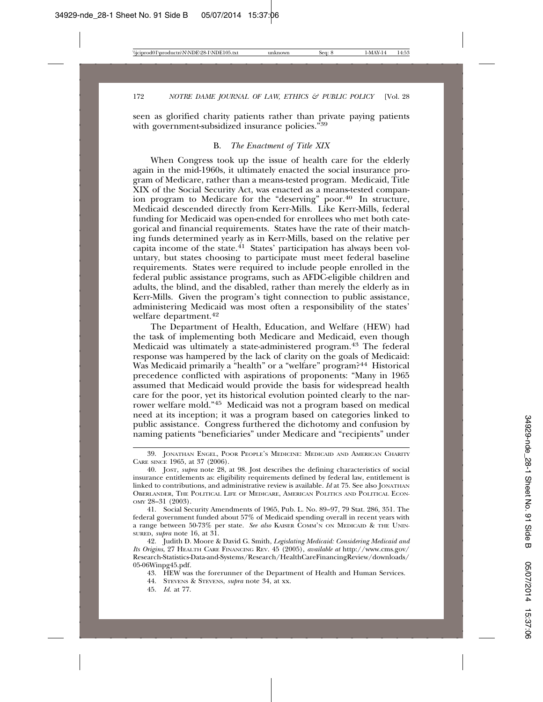seen as glorified charity patients rather than private paying patients with government-subsidized insurance policies.<sup>"39</sup>

#### B. *The Enactment of Title XIX*

When Congress took up the issue of health care for the elderly again in the mid-1960s, it ultimately enacted the social insurance program of Medicare, rather than a means-tested program. Medicaid, Title XIX of the Social Security Act, was enacted as a means-tested companion program to Medicare for the "deserving" poor.<sup>40</sup> In structure, Medicaid descended directly from Kerr-Mills. Like Kerr-Mills, federal funding for Medicaid was open-ended for enrollees who met both categorical and financial requirements. States have the rate of their matching funds determined yearly as in Kerr-Mills, based on the relative per capita income of the state.<sup>41</sup> States' participation has always been voluntary, but states choosing to participate must meet federal baseline requirements. States were required to include people enrolled in the federal public assistance programs, such as AFDC-eligible children and adults, the blind, and the disabled, rather than merely the elderly as in Kerr-Mills. Given the program's tight connection to public assistance, administering Medicaid was most often a responsibility of the states' welfare department.42

The Department of Health, Education, and Welfare (HEW) had the task of implementing both Medicare and Medicaid, even though Medicaid was ultimately a state-administered program.43 The federal response was hampered by the lack of clarity on the goals of Medicaid: Was Medicaid primarily a "health" or a "welfare" program?<sup>44</sup> Historical precedence conflicted with aspirations of proponents: "Many in 1965 assumed that Medicaid would provide the basis for widespread health care for the poor, yet its historical evolution pointed clearly to the narrower welfare mold."45 Medicaid was not a program based on medical need at its inception; it was a program based on categories linked to public assistance. Congress furthered the dichotomy and confusion by naming patients "beneficiaries" under Medicare and "recipients" under

- 43. HEW was the forerunner of the Department of Health and Human Services.
- 44. STEVENS & STEVENS, *supra* note 34, at xx.
- 45. *Id.* at 77.

<sup>39.</sup> JONATHAN ENGEL, POOR PEOPLE'S MEDICINE: MEDICAID AND AMERICAN CHARITY CARE SINCE 1965, at 37 (2006).

<sup>40.</sup> JOST, *supra* note 28, at 98. Jost describes the defining characteristics of social insurance entitlements as: eligibility requirements defined by federal law, entitlement is linked to contributions, and administrative review is available. *Id* at 75. See also JONATHAN OBERLANDER, THE POLITICAL LIFE OF MEDICARE, AMERICAN POLITICS AND POLITICAL ECON-OMY 28–31 (2003).

<sup>41.</sup> Social Security Amendments of 1965, Pub. L. No. 89–97, 79 Stat. 286, 351. The federal government funded about 57% of Medicaid spending overall in recent years with a range between 50-73% per state. *See also* KAISER COMM'N ON MEDICAID & THE UNIN-SURED, *supra* note 16, at 31.

<sup>42.</sup> Judith D. Moore & David G. Smith, *Legislating Medicaid: Considering Medicaid and Its Origins*, 27 HEALTH CARE FINANCING REV. 45 (2005), *available at* http://www.cms.gov/ Research-Statistics-Data-and-Systems/Research/HealthCareFinancingReview/downloads/ 05-06Winpg45.pdf.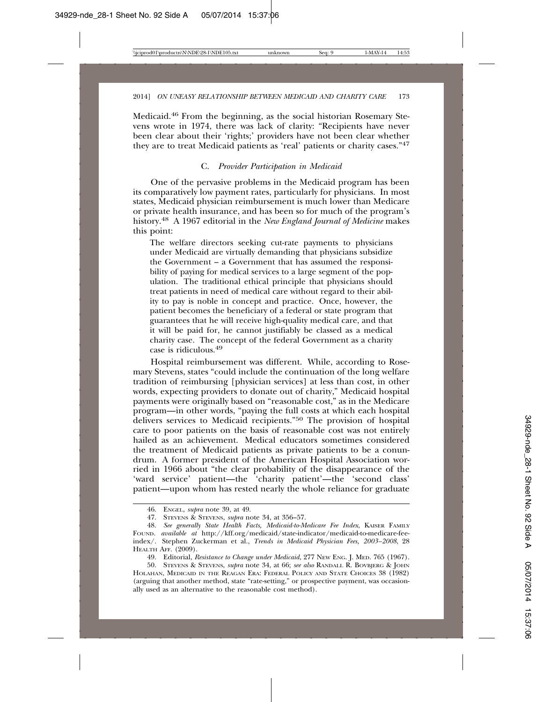Medicaid.46 From the beginning, as the social historian Rosemary Stevens wrote in 1974, there was lack of clarity: "Recipients have never been clear about their 'rights;' providers have not been clear whether they are to treat Medicaid patients as 'real' patients or charity cases."47

#### C. *Provider Participation in Medicaid*

One of the pervasive problems in the Medicaid program has been its comparatively low payment rates, particularly for physicians. In most states, Medicaid physician reimbursement is much lower than Medicare or private health insurance, and has been so for much of the program's history.48 A 1967 editorial in the *New England Journal of Medicine* makes this point:

The welfare directors seeking cut-rate payments to physicians under Medicaid are virtually demanding that physicians subsidize the Government – a Government that has assumed the responsibility of paying for medical services to a large segment of the population. The traditional ethical principle that physicians should treat patients in need of medical care without regard to their ability to pay is noble in concept and practice. Once, however, the patient becomes the beneficiary of a federal or state program that guarantees that he will receive high-quality medical care, and that it will be paid for, he cannot justifiably be classed as a medical charity case. The concept of the federal Government as a charity case is ridiculous.49

Hospital reimbursement was different. While, according to Rosemary Stevens, states "could include the continuation of the long welfare tradition of reimbursing [physician services] at less than cost, in other words, expecting providers to donate out of charity," Medicaid hospital payments were originally based on "reasonable cost," as in the Medicare program—in other words, "paying the full costs at which each hospital delivers services to Medicaid recipients."<sup>50</sup> The provision of hospital care to poor patients on the basis of reasonable cost was not entirely hailed as an achievement. Medical educators sometimes considered the treatment of Medicaid patients as private patients to be a conundrum. A former president of the American Hospital Association worried in 1966 about "the clear probability of the disappearance of the 'ward service' patient—the 'charity patient'—the 'second class' patient—upon whom has rested nearly the whole reliance for graduate

<sup>46.</sup> ENGEL, *supra* note 39, at 49.

<sup>47.</sup> STEVENS & STEVENS, *supra* note 34, at 356–57.

<sup>48.</sup> *See generally State Health Facts, Medicaid-to-Medicare Fee Index*, KAISER FAMILY FOUND. *available at* http://kff.org/medicaid/state-indicator/medicaid-to-medicare-feeindex/. Stephen Zuckerman et al., *Trends in Medicaid Physician Fees, 2003–2008*, 28 HEALTH AFF. (2009).

<sup>49.</sup> Editorial, *Resistance to Change under Medicaid*, 277 NEW ENG. J. MED. 765 (1967).

<sup>50.</sup> STEVENS & STEVENS, *supra* note 34, at 66; *see also* RANDALL R. BOVBJERG & JOHN HOLAHAN, MEDICAID IN THE REAGAN ERA: FEDERAL POLICY AND STATE CHOICES 38 (1982) (arguing that another method, state "rate-setting," or prospective payment, was occasionally used as an alternative to the reasonable cost method).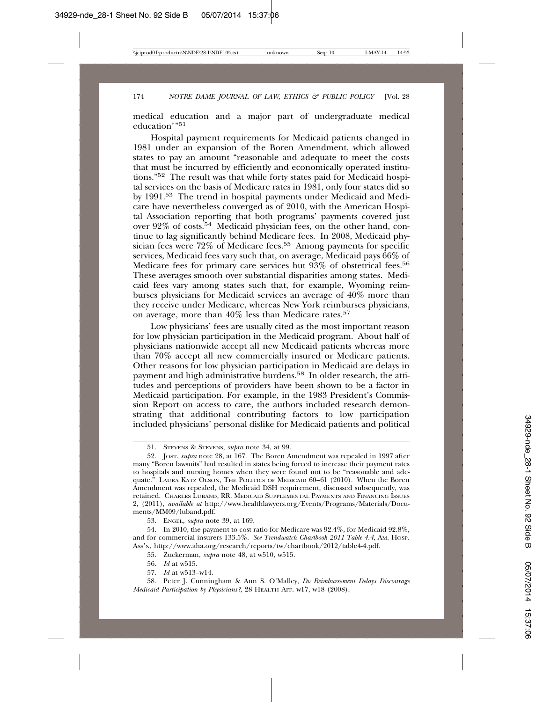medical education and a major part of undergraduate medical education'"<sup>51</sup>

Hospital payment requirements for Medicaid patients changed in 1981 under an expansion of the Boren Amendment, which allowed states to pay an amount "reasonable and adequate to meet the costs that must be incurred by efficiently and economically operated institutions."52 The result was that while forty states paid for Medicaid hospital services on the basis of Medicare rates in 1981, only four states did so by 1991.53 The trend in hospital payments under Medicaid and Medicare have nevertheless converged as of 2010, with the American Hospital Association reporting that both programs' payments covered just over 92% of costs.54 Medicaid physician fees, on the other hand, continue to lag significantly behind Medicare fees. In 2008, Medicaid physician fees were 72% of Medicare fees.<sup>55</sup> Among payments for specific services, Medicaid fees vary such that, on average, Medicaid pays 66% of Medicare fees for primary care services but 93% of obstetrical fees.<sup>56</sup> These averages smooth over substantial disparities among states. Medicaid fees vary among states such that, for example, Wyoming reimburses physicians for Medicaid services an average of 40% more than they receive under Medicare, whereas New York reimburses physicians, on average, more than 40% less than Medicare rates.57

Low physicians' fees are usually cited as the most important reason for low physician participation in the Medicaid program. About half of physicians nationwide accept all new Medicaid patients whereas more than 70% accept all new commercially insured or Medicare patients. Other reasons for low physician participation in Medicaid are delays in payment and high administrative burdens.58 In older research, the attitudes and perceptions of providers have been shown to be a factor in Medicaid participation. For example, in the 1983 President's Commission Report on access to care, the authors included research demonstrating that additional contributing factors to low participation included physicians' personal dislike for Medicaid patients and political

53. ENGEL, *supra* note 39, at 169.

54. In 2010, the payment to cost ratio for Medicare was 92.4%, for Medicaid 92.8%, and for commercial insurers 133.5%. *See Trendwatch Chartbook 2011 Table 4.4*, AM. HOSP. ASS'N, http://www.aha.org/research/reports/tw/chartbook/2012/table4-4.pdf.

55. Zuckerman, *supra* note 48, at w510, w515.

- 56. *Id* at w515.
- 57. *Id* at w513–w14.

58. Peter J. Cunningham & Ann S. O'Malley, *Do Reimbursement Delays Discourage Medicaid Participation by Physicians?*, 28 HEALTH AFF. w17, w18 (2008).

<sup>51.</sup> STEVENS & STEVENS, *supra* note 34, at 99.

<sup>52.</sup> JOST, *supra* note 28, at 167. The Boren Amendment was repealed in 1997 after many "Boren lawsuits" had resulted in states being forced to increase their payment rates to hospitals and nursing homes when they were found not to be "reasonable and adequate." LAURA KATZ OLSON, THE POLITICS OF MEDICAID 60–61 (2010). When the Boren Amendment was repealed, the Medicaid DSH requirement, discussed subsequently, was retained. CHARLES LUBAND, RR. MEDICAID SUPPLEMENTAL PAYMENTS AND FINANCING ISSUES 2, (2011), *available at* http://www.healthlawyers.org/Events/Programs/Materials/Documents/MM09/luband.pdf.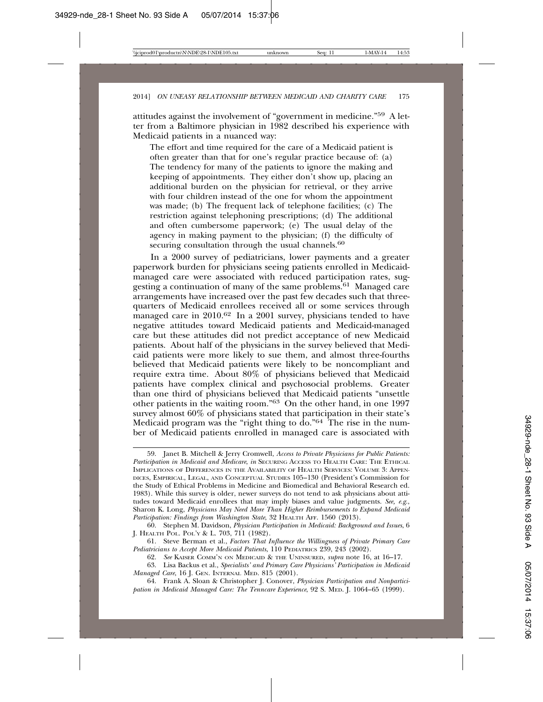attitudes against the involvement of "government in medicine."59 A letter from a Baltimore physician in 1982 described his experience with Medicaid patients in a nuanced way:

The effort and time required for the care of a Medicaid patient is often greater than that for one's regular practice because of: (a) The tendency for many of the patients to ignore the making and keeping of appointments. They either don't show up, placing an additional burden on the physician for retrieval, or they arrive with four children instead of the one for whom the appointment was made; (b) The frequent lack of telephone facilities; (c) The restriction against telephoning prescriptions; (d) The additional and often cumbersome paperwork; (e) The usual delay of the agency in making payment to the physician; (f) the difficulty of securing consultation through the usual channels.<sup>60</sup>

In a 2000 survey of pediatricians, lower payments and a greater paperwork burden for physicians seeing patients enrolled in Medicaidmanaged care were associated with reduced participation rates, suggesting a continuation of many of the same problems.<sup>61</sup> Managed care arrangements have increased over the past few decades such that threequarters of Medicaid enrollees received all or some services through managed care in 2010.<sup>62</sup> In a 2001 survey, physicians tended to have negative attitudes toward Medicaid patients and Medicaid-managed care but these attitudes did not predict acceptance of new Medicaid patients. About half of the physicians in the survey believed that Medicaid patients were more likely to sue them, and almost three-fourths believed that Medicaid patients were likely to be noncompliant and require extra time. About 80% of physicians believed that Medicaid patients have complex clinical and psychosocial problems. Greater than one third of physicians believed that Medicaid patients "unsettle other patients in the waiting room."63 On the other hand, in one 1997 survey almost 60% of physicians stated that participation in their state's Medicaid program was the "right thing to  $d\sigma$ ."<sup>64</sup> The rise in the number of Medicaid patients enrolled in managed care is associated with

<sup>59.</sup> Janet B. Mitchell & Jerry Cromwell, *Access to Private Physicians for Public Patients: Participation in Medicaid and Medicare*, *in* SECURING ACCESS TO HEALTH CARE: THE ETHICAL IMPLICATIONS OF DIFFERENCES IN THE AVAILABILITY OF HEALTH SERVICES: VOLUME 3: APPEN-DICES, EMPIRICAL, LEGAL, AND CONCEPTUAL STUDIES 105–130 (President's Commission for the Study of Ethical Problems in Medicine and Biomedical and Behavioral Research ed. 1983). While this survey is older, newer surveys do not tend to ask physicians about attitudes toward Medicaid enrollees that may imply biases and value judgments. *See, e.g*., Sharon K. Long, *Physicians May Need More Than Higher Reimbursements to Expand Medicaid Participation: Findings from Washington State*, 32 HEALTH AFF. 1560 (2013).

<sup>60.</sup> Stephen M. Davidson, *Physician Participation in Medicaid: Background and Issues*, 6 J. HEALTH POL. POL'Y & L. 703, 711 (1982).

<sup>61.</sup> Steve Berman et al., *Factors That Influence the Willingness of Private Primary Care Pediatricians to Accept More Medicaid Patients*, 110 PEDIATRICS 239, 243 (2002).

<sup>62.</sup> *See* KAISER COMM'N ON MEDICAID & THE UNINSURED, *supra* note 16, at 16–17.

<sup>63.</sup> Lisa Backus et al., *Specialists' and Primary Care Physicians' Participation in Medicaid Managed Care*, 16 J. GEN. INTERNAL MED. 815 (2001).

<sup>64.</sup> Frank A. Sloan & Christopher J. Conover, *Physician Participation and Nonparticipation in Medicaid Managed Care: The Tenncare Experience*, 92 S. MED. J. 1064–65 (1999).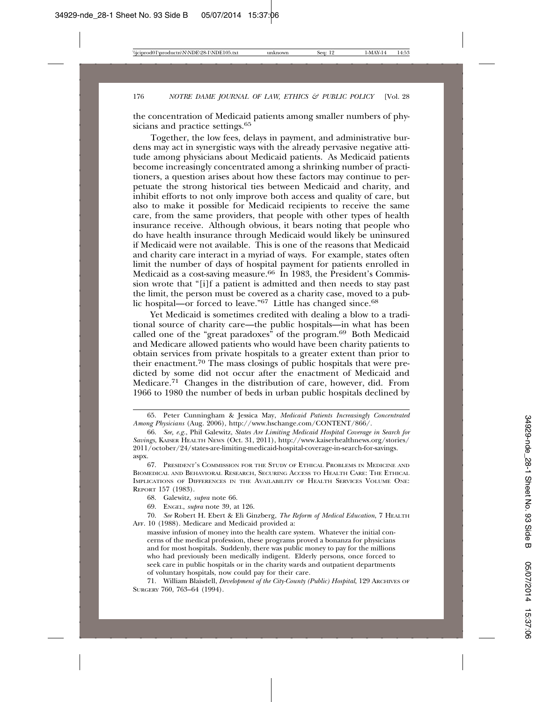the concentration of Medicaid patients among smaller numbers of physicians and practice settings.<sup>65</sup>

Together, the low fees, delays in payment, and administrative burdens may act in synergistic ways with the already pervasive negative attitude among physicians about Medicaid patients. As Medicaid patients become increasingly concentrated among a shrinking number of practitioners, a question arises about how these factors may continue to perpetuate the strong historical ties between Medicaid and charity, and inhibit efforts to not only improve both access and quality of care, but also to make it possible for Medicaid recipients to receive the same care, from the same providers, that people with other types of health insurance receive. Although obvious, it bears noting that people who do have health insurance through Medicaid would likely be uninsured if Medicaid were not available. This is one of the reasons that Medicaid and charity care interact in a myriad of ways. For example, states often limit the number of days of hospital payment for patients enrolled in Medicaid as a cost-saving measure.<sup>66</sup> In 1983, the President's Commission wrote that "[i]f a patient is admitted and then needs to stay past the limit, the person must be covered as a charity case, moved to a public hospital—or forced to leave."<sup>67</sup> Little has changed since.<sup>68</sup>

Yet Medicaid is sometimes credited with dealing a blow to a traditional source of charity care—the public hospitals—in what has been called one of the "great paradoxes" of the program.<sup>69</sup> Both Medicaid and Medicare allowed patients who would have been charity patients to obtain services from private hospitals to a greater extent than prior to their enactment.70 The mass closings of public hospitals that were predicted by some did not occur after the enactment of Medicaid and Medicare.71 Changes in the distribution of care, however, did. From 1966 to 1980 the number of beds in urban public hospitals declined by

massive infusion of money into the health care system. Whatever the initial concerns of the medical profession, these programs proved a bonanza for physicians and for most hospitals. Suddenly, there was public money to pay for the millions who had previously been medically indigent. Elderly persons, once forced to seek care in public hospitals or in the charity wards and outpatient departments of voluntary hospitals, now could pay for their care.

71. William Blaisdell, *Development of the City-County (Public) Hospital*, 129 ARCHIVES OF SURGERY 760, 763–64 (1994).

<sup>65.</sup> Peter Cunningham & Jessica May, *Medicaid Patients Increasingly Concentrated Among Physicians* (Aug. 2006), http://www.hschange.com/CONTENT/866/.

<sup>66.</sup> *See, e.g.*, Phil Galewitz, *States Are Limiting Medicaid Hospital Coverage in Search for Savings*, KAISER HEALTH NEWS (Oct. 31, 2011), http://www.kaiserhealthnews.org/stories/  $2011$ /october/24/states-are-limiting-medicaid-hospital-coverage-in-search-for-savings. aspx.

<sup>67.</sup> PRESIDENT'S COMMISSION FOR THE STUDY OF ETHICAL PROBLEMS IN MEDICINE AND BIOMEDICAL AND BEHAVIORAL RESEARCH, SECURING ACCESS TO HEALTH CARE: THE ETHICAL IMPLICATIONS OF DIFFERENCES IN THE AVAILABILITY OF HEALTH SERVICES VOLUME ONE: REPORT 157 (1983).

<sup>68.</sup> Galewitz, *supra* note 66.

<sup>69.</sup> ENGEL, *supra* note 39, at 126.

<sup>70.</sup> *See* Robert H. Ebert & Eli Ginzberg, *The Reform of Medical Education*, 7 HEALTH AFF. 10 (1988). Medicare and Medicaid provided a: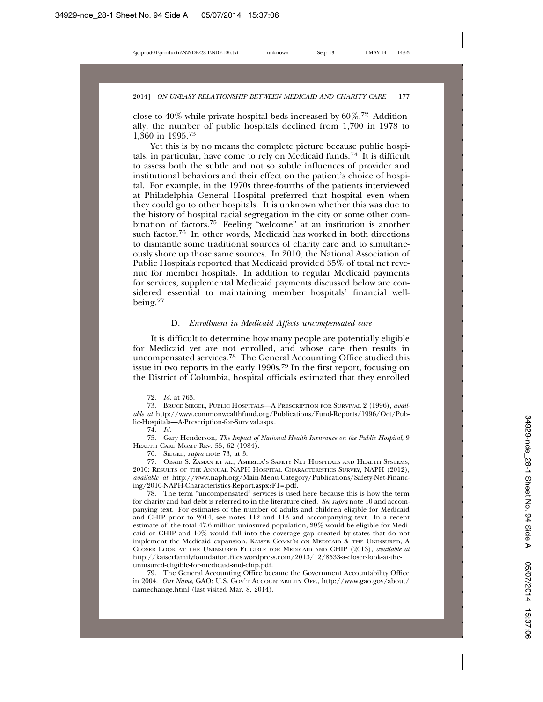close to 40% while private hospital beds increased by  $60\%$ <sup>72</sup> Additionally, the number of public hospitals declined from 1,700 in 1978 to 1,360 in 1995.73

Yet this is by no means the complete picture because public hospitals, in particular, have come to rely on Medicaid funds.<sup>74</sup> It is difficult to assess both the subtle and not so subtle influences of provider and institutional behaviors and their effect on the patient's choice of hospital. For example, in the 1970s three-fourths of the patients interviewed at Philadelphia General Hospital preferred that hospital even when they could go to other hospitals. It is unknown whether this was due to the history of hospital racial segregation in the city or some other combination of factors.75 Feeling "welcome" at an institution is another such factor.76 In other words, Medicaid has worked in both directions to dismantle some traditional sources of charity care and to simultaneously shore up those same sources. In 2010, the National Association of Public Hospitals reported that Medicaid provided 35% of total net revenue for member hospitals. In addition to regular Medicaid payments for services, supplemental Medicaid payments discussed below are considered essential to maintaining member hospitals' financial wellbeing.<sup>77</sup>

#### D. *Enrollment in Medicaid Affects uncompensated care*

It is difficult to determine how many people are potentially eligible for Medicaid yet are not enrolled, and whose care then results in uncompensated services.78 The General Accounting Office studied this issue in two reports in the early 1990s.79 In the first report, focusing on the District of Columbia, hospital officials estimated that they enrolled

75. Gary Henderson, *The Impact of National Health Insurance on the Public Hospital*, 9 HEALTH CARE MGMT REV. 55, 62 (1984).

78. The term "uncompensated" services is used here because this is how the term for charity and bad debt is referred to in the literature cited. *See supra* note 10 and accompanying text. For estimates of the number of adults and children eligible for Medicaid and CHIP prior to 2014, see notes 112 and 113 and accompanying text. In a recent estimate of the total 47.6 million uninsured population, 29% would be eligible for Medicaid or CHIP and 10% would fall into the coverage gap created by states that do not implement the Medicaid expansion. KAISER COMM'N ON MEDICAID & THE UNINSURED, A CLOSER LOOK AT THE UNINSURED ELIGIBLE FOR MEDICAID AND CHIP (2013), *available at* http://kaiserfamilyfoundation.files.wordpress.com/2013/12/8533-a-closer-look-at-theuninsured-eligible-for-medicaid-and-chip.pdf.

79. The General Accounting Office became the Government Accountability Office in 2004. *Our Name*, GAO: U.S. GOV'T ACCOUNTABILITY OFF., http://www.gao.gov/about/ namechange.html (last visited Mar. 8, 2014).

<sup>72.</sup> *Id.* at 763.

<sup>73.</sup> BRUCE SIEGEL, PUBLIC HOSPITALS—A PRESCRIPTION FOR SURVIVAL 2 (1996), *available at* http://www.commonwealthfund.org/Publications/Fund-Reports/1996/Oct/Public-Hospitals—A-Prescription-for-Survival.aspx.

<sup>74.</sup> *Id.*

<sup>76.</sup> SIEGEL, *supra* note 73, at 3.

<sup>77.</sup> OBAID S. ZAMAN ET AL., AMERICA'S SAFETY NET HOSPITALS AND HEALTH SYSTEMS, 2010: RESULTS OF THE ANNUAL NAPH HOSPITAL CHARACTERISTICS SURVEY*,* NAPH (2012), *available at* http://www.naph.org/Main-Menu-Category/Publications/Safety-Net-Financing/2010-NAPH-Characteristics-Report.aspx?FT=.pdf.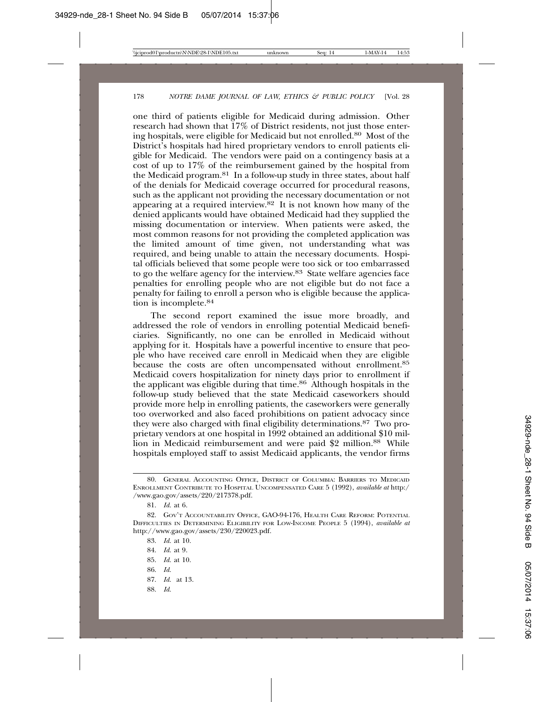one third of patients eligible for Medicaid during admission. Other research had shown that  $17\%$  of District residents, not just those entering hospitals, were eligible for Medicaid but not enrolled.80 Most of the District's hospitals had hired proprietary vendors to enroll patients eligible for Medicaid. The vendors were paid on a contingency basis at a cost of up to 17% of the reimbursement gained by the hospital from the Medicaid program.81 In a follow-up study in three states, about half of the denials for Medicaid coverage occurred for procedural reasons, such as the applicant not providing the necessary documentation or not appearing at a required interview.<sup>82</sup> It is not known how many of the denied applicants would have obtained Medicaid had they supplied the missing documentation or interview. When patients were asked, the most common reasons for not providing the completed application was the limited amount of time given, not understanding what was required, and being unable to attain the necessary documents. Hospital officials believed that some people were too sick or too embarrassed to go the welfare agency for the interview.83 State welfare agencies face penalties for enrolling people who are not eligible but do not face a penalty for failing to enroll a person who is eligible because the application is incomplete.84

The second report examined the issue more broadly, and addressed the role of vendors in enrolling potential Medicaid beneficiaries. Significantly, no one can be enrolled in Medicaid without applying for it. Hospitals have a powerful incentive to ensure that people who have received care enroll in Medicaid when they are eligible because the costs are often uncompensated without enrollment.<sup>85</sup> Medicaid covers hospitalization for ninety days prior to enrollment if the applicant was eligible during that time.86 Although hospitals in the follow-up study believed that the state Medicaid caseworkers should provide more help in enrolling patients, the caseworkers were generally too overworked and also faced prohibitions on patient advocacy since they were also charged with final eligibility determinations.87 Two proprietary vendors at one hospital in 1992 obtained an additional \$10 million in Medicaid reimbursement and were paid \$2 million.88 While hospitals employed staff to assist Medicaid applicants, the vendor firms

- 85. *Id.* at 10.
- 86. *Id.*
- 87. *Id.* at 13.
- 88. *Id.*

<sup>80.</sup> GENERAL ACCOUNTING OFFICE, DISTRICT OF COLUMBIA: BARRIERS TO MEDICAID ENROLLMENT CONTRIBUTE TO HOSPITAL UNCOMPENSATED CARE 5 (1992), *available at* http:/ /www.gao.gov/assets/220/217378.pdf.

<sup>81.</sup> *Id.* at 6.

<sup>82.</sup> GOV'T ACCOUNTABILITY OFFICE, GAO-94-176, HEALTH CARE REFORM: POTENTIAL DIFFICULTIES IN DETERMINING ELIGIBILITY FOR LOW-INCOME PEOPLE 5 (1994), *available at* http://www.gao.gov/assets/230/220023.pdf.

<sup>83.</sup> *Id.* at 10.

<sup>84.</sup> *Id.* at 9.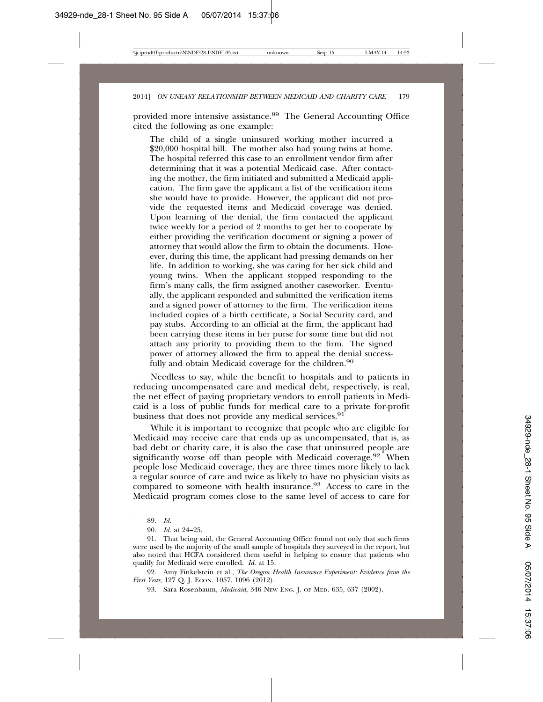provided more intensive assistance.89 The General Accounting Office cited the following as one example:

The child of a single uninsured working mother incurred a \$20,000 hospital bill. The mother also had young twins at home. The hospital referred this case to an enrollment vendor firm after determining that it was a potential Medicaid case. After contacting the mother, the firm initiated and submitted a Medicaid application. The firm gave the applicant a list of the verification items she would have to provide. However, the applicant did not provide the requested items and Medicaid coverage was denied. Upon learning of the denial, the firm contacted the applicant twice weekly for a period of 2 months to get her to cooperate by either providing the verification document or signing a power of attorney that would allow the firm to obtain the documents. However, during this time, the applicant had pressing demands on her life. In addition to working, she was caring for her sick child and young twins. When the applicant stopped responding to the firm's many calls, the firm assigned another caseworker. Eventually, the applicant responded and submitted the verification items and a signed power of attorney to the firm. The verification items included copies of a birth certificate, a Social Security card, and pay stubs. According to an official at the firm, the applicant had been carrying these items in her purse for some time but did not attach any priority to providing them to the firm. The signed power of attorney allowed the firm to appeal the denial successfully and obtain Medicaid coverage for the children.<sup>90</sup>

Needless to say, while the benefit to hospitals and to patients in reducing uncompensated care and medical debt, respectively, is real, the net effect of paying proprietary vendors to enroll patients in Medicaid is a loss of public funds for medical care to a private for-profit business that does not provide any medical services.<sup>91</sup>

While it is important to recognize that people who are eligible for Medicaid may receive care that ends up as uncompensated, that is, as bad debt or charity care, it is also the case that uninsured people are significantly worse off than people with Medicaid coverage.<sup>92</sup> When people lose Medicaid coverage, they are three times more likely to lack a regular source of care and twice as likely to have no physician visits as compared to someone with health insurance.93 Access to care in the Medicaid program comes close to the same level of access to care for

92. Amy Finkelstein et al., *The Oregon Health Insurance Experiment: Evidence from the First Year*, 127 Q. J. ECON. 1057, 1096 (2012).

<sup>89.</sup> *Id.*

<sup>90.</sup> *Id.* at 24–25.

<sup>91.</sup> That being said, the General Accounting Office found not only that such firms were used by the majority of the small sample of hospitals they surveyed in the report, but also noted that HCFA considered them useful in helping to ensure that patients who qualify for Medicaid were enrolled. *Id.* at 15.

<sup>93.</sup> Sara Rosenbaum, *Medicaid*, 346 NEW ENG. J. OF MED. 635, 637 (2002).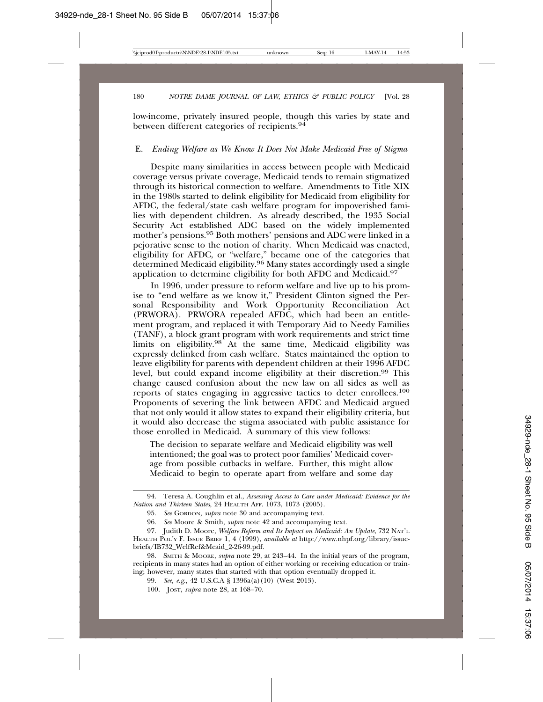low-income, privately insured people, though this varies by state and between different categories of recipients.<sup>94</sup>

#### E. *Ending Welfare as We Know It Does Not Make Medicaid Free of Stigma*

Despite many similarities in access between people with Medicaid coverage versus private coverage, Medicaid tends to remain stigmatized through its historical connection to welfare. Amendments to Title XIX in the 1980s started to delink eligibility for Medicaid from eligibility for AFDC, the federal/state cash welfare program for impoverished families with dependent children. As already described, the 1935 Social Security Act established ADC based on the widely implemented mother's pensions.95 Both mothers' pensions and ADC were linked in a pejorative sense to the notion of charity. When Medicaid was enacted, eligibility for AFDC, or "welfare," became one of the categories that determined Medicaid eligibility.96 Many states accordingly used a single application to determine eligibility for both AFDC and Medicaid.97

In 1996, under pressure to reform welfare and live up to his promise to "end welfare as we know it," President Clinton signed the Personal Responsibility and Work Opportunity Reconciliation Act (PRWORA). PRWORA repealed AFDC, which had been an entitlement program, and replaced it with Temporary Aid to Needy Families (TANF), a block grant program with work requirements and strict time limits on eligibility.<sup>98</sup> At the same time, Medicaid eligibility was expressly delinked from cash welfare. States maintained the option to leave eligibility for parents with dependent children at their 1996 AFDC level, but could expand income eligibility at their discretion.99 This change caused confusion about the new law on all sides as well as reports of states engaging in aggressive tactics to deter enrollees.100 Proponents of severing the link between AFDC and Medicaid argued that not only would it allow states to expand their eligibility criteria, but it would also decrease the stigma associated with public assistance for those enrolled in Medicaid. A summary of this view follows:

The decision to separate welfare and Medicaid eligibility was well intentioned; the goal was to protect poor families' Medicaid coverage from possible cutbacks in welfare. Further, this might allow Medicaid to begin to operate apart from welfare and some day

<sup>94.</sup> Teresa A. Coughlin et al., *Assessing Access to Care under Medicaid: Evidence for the Nation and Thirteen States*, 24 HEALTH AFF. 1073, 1073 (2005).

<sup>95.</sup> *See* GORDON, *supra* note 30 and accompanying text.

<sup>96.</sup> *See* Moore & Smith, *supra* note 42 and accompanying text.

<sup>97.</sup> Judith D. Moore, *Welfare Reform and Its Impact on Medicaid: An Update*, 732 NAT'L HEALTH POL'Y F. ISSUE BRIEF 1, 4 (1999), *available at* http://www.nhpf.org/library/issuebriefs/IB732\_WelfRef&Mcaid\_2-26-99.pdf.

<sup>98.</sup> SMITH & MOORE, *supra* note 29, at 243–44. In the initial years of the program, recipients in many states had an option of either working or receiving education or training; however, many states that started with that option eventually dropped it.

<sup>99.</sup> *See, e.g.,* 42 U.S.C.A § 1396a(a)(10) (West 2013).

<sup>100.</sup> JOST, *supra* note 28, at 168–70.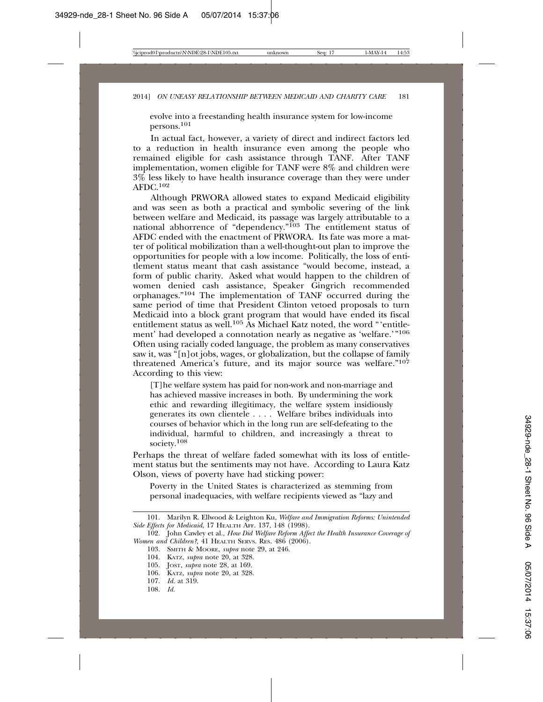evolve into a freestanding health insurance system for low-income persons.<sup>101</sup>

In actual fact, however, a variety of direct and indirect factors led to a reduction in health insurance even among the people who remained eligible for cash assistance through TANF. After TANF implementation, women eligible for TANF were 8% and children were  $3\%$  less likely to have health insurance coverage than they were under AFDC.<sup>102</sup>

Although PRWORA allowed states to expand Medicaid eligibility and was seen as both a practical and symbolic severing of the link between welfare and Medicaid, its passage was largely attributable to a national abhorrence of "dependency."<sup>103</sup> The entitlement status of AFDC ended with the enactment of PRWORA. Its fate was more a matter of political mobilization than a well-thought-out plan to improve the opportunities for people with a low income. Politically, the loss of entitlement status meant that cash assistance "would become, instead, a form of public charity. Asked what would happen to the children of women denied cash assistance, Speaker Gingrich recommended orphanages."104 The implementation of TANF occurred during the same period of time that President Clinton vetoed proposals to turn Medicaid into a block grant program that would have ended its fiscal entitlement status as well.<sup>105</sup> As Michael Katz noted, the word "'entitlement' had developed a connotation nearly as negative as 'welfare.'"106 Often using racially coded language, the problem as many conservatives saw it, was "[n]ot jobs, wages, or globalization, but the collapse of family threatened America's future, and its major source was welfare."107 According to this view:

[T]he welfare system has paid for non-work and non-marriage and has achieved massive increases in both. By undermining the work ethic and rewarding illegitimacy, the welfare system insidiously generates its own clientele . . . . Welfare bribes individuals into courses of behavior which in the long run are self-defeating to the individual, harmful to children, and increasingly a threat to society.<sup>108</sup>

Perhaps the threat of welfare faded somewhat with its loss of entitlement status but the sentiments may not have. According to Laura Katz Olson, views of poverty have had sticking power:

Poverty in the United States is characterized as stemming from personal inadequacies, with welfare recipients viewed as "lazy and

103. SMITH & MOORE, *supra* note 29, at 246.

<sup>101.</sup> Marilyn R. Ellwood & Leighton Ku, *Welfare and Immigration Reforms: Unintended Side Effects for Medicaid*, 17 HEALTH AFF. 137, 148 (1998).

<sup>102.</sup> John Cawley et al., *How Did Welfare Reform Affect the Health Insurance Coverage of Women and Children?,* 41 HEALTH SERVS. RES. 486 (2006).

<sup>104.</sup> KATZ, *supra* note 20, at 328.

<sup>105.</sup> JOST, *supra* note 28, at 169.

<sup>106.</sup> KATZ, *supra* note 20, at 328.

<sup>107.</sup> *Id.* at 319.

<sup>108.</sup> *Id.*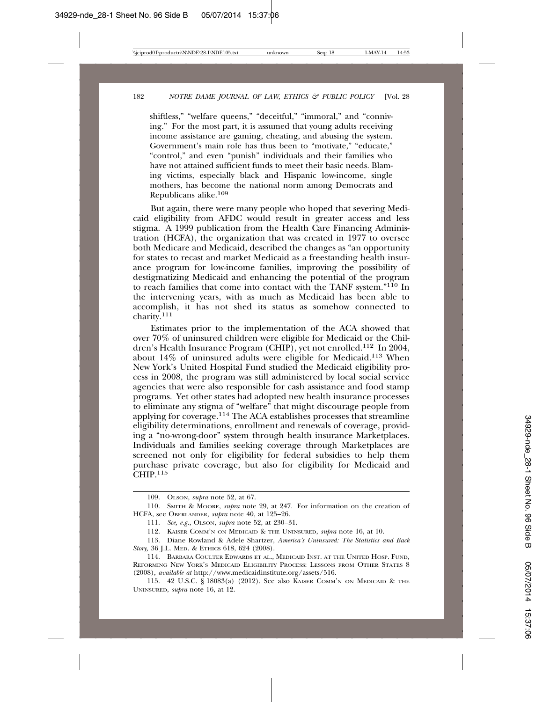shiftless," "welfare queens," "deceitful," "immoral," and "conniving." For the most part, it is assumed that young adults receiving income assistance are gaming, cheating, and abusing the system. Government's main role has thus been to "motivate," "educate," "control," and even "punish" individuals and their families who have not attained sufficient funds to meet their basic needs. Blaming victims, especially black and Hispanic low-income, single mothers, has become the national norm among Democrats and Republicans alike.109

But again, there were many people who hoped that severing Medicaid eligibility from AFDC would result in greater access and less stigma. A 1999 publication from the Health Care Financing Administration (HCFA), the organization that was created in 1977 to oversee both Medicare and Medicaid, described the changes as "an opportunity for states to recast and market Medicaid as a freestanding health insurance program for low-income families, improving the possibility of destigmatizing Medicaid and enhancing the potential of the program to reach families that come into contact with the TANF system."110 In the intervening years, with as much as Medicaid has been able to accomplish, it has not shed its status as somehow connected to charity.<sup>111</sup>

Estimates prior to the implementation of the ACA showed that over 70% of uninsured children were eligible for Medicaid or the Children's Health Insurance Program (CHIP), yet not enrolled.112 In 2004, about 14% of uninsured adults were eligible for Medicaid.113 When New York's United Hospital Fund studied the Medicaid eligibility process in 2008, the program was still administered by local social service agencies that were also responsible for cash assistance and food stamp programs. Yet other states had adopted new health insurance processes to eliminate any stigma of "welfare" that might discourage people from applying for coverage.114 The ACA establishes processes that streamline eligibility determinations, enrollment and renewals of coverage, providing a "no-wrong-door" system through health insurance Marketplaces. Individuals and families seeking coverage through Marketplaces are screened not only for eligibility for federal subsidies to help them purchase private coverage, but also for eligibility for Medicaid and CHIP.<sup>115</sup>

<sup>109.</sup> OLSON, *supra* note 52, at 67.

<sup>110.</sup> SMITH & MOORE, *supra* note 29, at 247. For information on the creation of HCFA, see OBERLANDER, *supra* note 40, at 125–26.

<sup>111.</sup> *See, e.g.*, OLSON, *supra* note 52, at 230–31.

<sup>112.</sup> KAISER COMM'N ON MEDICAID & THE UNINSURED, *supra* note 16, at 10.

<sup>113.</sup> Diane Rowland & Adele Shartzer, *America's Uninsured: The Statistics and Back Story,* 36 J.L. MED. & ETHICS 618, 624 (2008).

<sup>114.</sup> BARBARA COULTER EDWARDS ET AL., MEDICAID INST. AT THE UNITED HOSP. FUND, REFORMING NEW YORK'S MEDICAID ELIGIBILITY PROCESS: LESSONS FROM OTHER STATES 8 (2008), *available at* http://www.medicaidinstitute.org/assets/516.

<sup>115. 42</sup> U.S.C. § 18083(a) (2012). See also KAISER COMM'N ON MEDICAID & THE UNINSURED, *supra* note 16, at 12.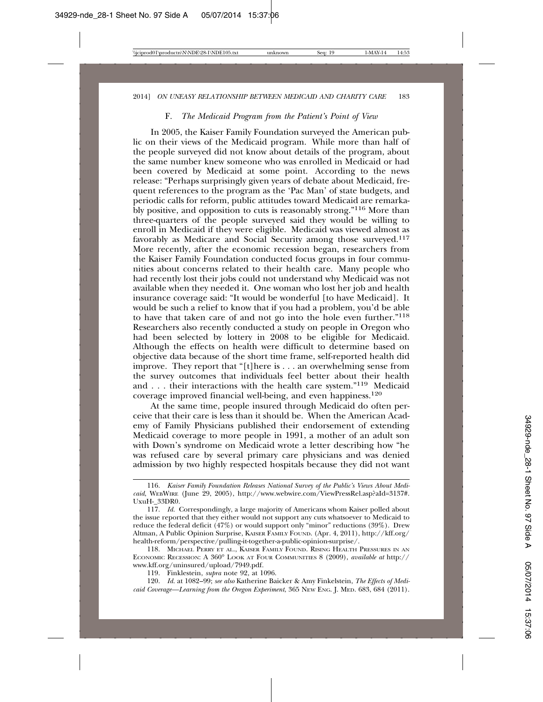#### F. *The Medicaid Program from the Patient's Point of View*

In 2005, the Kaiser Family Foundation surveyed the American public on their views of the Medicaid program. While more than half of the people surveyed did not know about details of the program, about the same number knew someone who was enrolled in Medicaid or had been covered by Medicaid at some point. According to the news release: "Perhaps surprisingly given years of debate about Medicaid, frequent references to the program as the 'Pac Man' of state budgets, and periodic calls for reform, public attitudes toward Medicaid are remarkably positive, and opposition to cuts is reasonably strong."116 More than three-quarters of the people surveyed said they would be willing to enroll in Medicaid if they were eligible. Medicaid was viewed almost as favorably as Medicare and Social Security among those surveyed.<sup>117</sup> More recently, after the economic recession began, researchers from the Kaiser Family Foundation conducted focus groups in four communities about concerns related to their health care. Many people who had recently lost their jobs could not understand why Medicaid was not available when they needed it. One woman who lost her job and health insurance coverage said: "It would be wonderful [to have Medicaid]. It would be such a relief to know that if you had a problem, you'd be able to have that taken care of and not go into the hole even further."118 Researchers also recently conducted a study on people in Oregon who had been selected by lottery in 2008 to be eligible for Medicaid. Although the effects on health were difficult to determine based on objective data because of the short time frame, self-reported health did improve. They report that "[t]here is . . . an overwhelming sense from the survey outcomes that individuals feel better about their health and . . . their interactions with the health care system."119 Medicaid coverage improved financial well-being, and even happiness.120

At the same time, people insured through Medicaid do often perceive that their care is less than it should be. When the American Academy of Family Physicians published their endorsement of extending Medicaid coverage to more people in 1991, a mother of an adult son with Down's syndrome on Medicaid wrote a letter describing how "he was refused care by several primary care physicians and was denied admission by two highly respected hospitals because they did not want

<sup>116.</sup> *Kaiser Family Foundation Releases National Survey of the Public's Views About Medicaid*, WEBWIRE (June 29, 2005), http://www.webwire.com/ViewPressRel.asp?aId=3137#. UxuH-\_33DR0.

<sup>117.</sup> *Id.* Correspondingly, a large majority of Americans whom Kaiser polled about the issue reported that they either would not support any cuts whatsoever to Medicaid to reduce the federal deficit (47%) or would support only "minor" reductions (39%). Drew Altman, A Public Opinion Surprise, KAISER FAMILY FOUND. (Apr. 4, 2011), http://kff.org/ health-reform/perspective/pulling-it-together-a-public-opinion-surprise/.

<sup>118.</sup> MICHAEL PERRY ET AL., KAISER FAMILY FOUND. RISING HEALTH PRESSURES IN AN ECONOMIC RECESSION: A 360° LOOK AT FOUR COMMUNITIES 8 (2009), *available at* http:// www.kff.org/uninsured/upload/7949.pdf.

<sup>119.</sup> Finklestein, *supra* note 92, at 1096.

<sup>120.</sup> *Id.* at 1082–99; *see also* Katherine Baicker & Amy Finkelstein, *The Effects of Medicaid Coverage—Learning from the Oregon Experiment*, 365 NEW ENG. J. MED. 683, 684 (2011).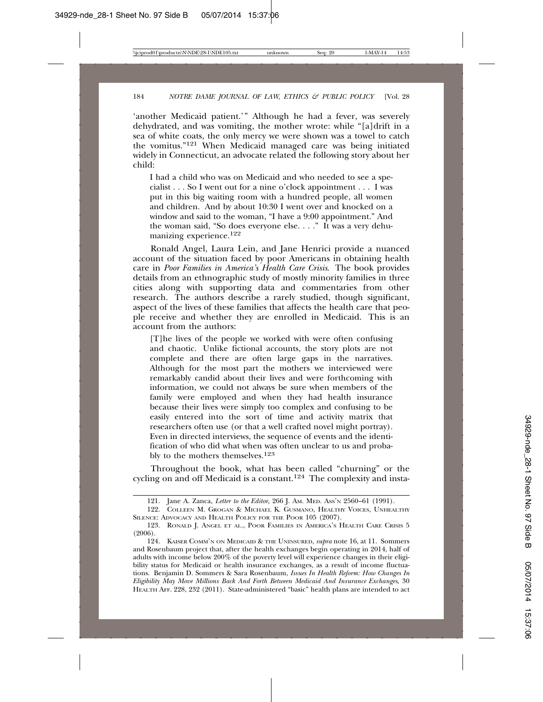'another Medicaid patient.'" Although he had a fever, was severely dehydrated, and was vomiting, the mother wrote: while "[a]drift in  $\acute{a}$ sea of white coats, the only mercy we were shown was a towel to catch the vomitus."121 When Medicaid managed care was being initiated widely in Connecticut, an advocate related the following story about her child:

I had a child who was on Medicaid and who needed to see a specialist . . . So I went out for a nine o'clock appointment . . . I was put in this big waiting room with a hundred people, all women and children. And by about 10:30 I went over and knocked on a window and said to the woman, "I have a 9:00 appointment." And the woman said, "So does everyone else. . . ." It was a very dehumanizing experience.122

Ronald Angel, Laura Lein, and Jane Henrici provide a nuanced account of the situation faced by poor Americans in obtaining health care in *Poor Families in America's Health Care Crisis*. The book provides details from an ethnographic study of mostly minority families in three cities along with supporting data and commentaries from other research. The authors describe a rarely studied, though significant, aspect of the lives of these families that affects the health care that people receive and whether they are enrolled in Medicaid. This is an account from the authors:

[T]he lives of the people we worked with were often confusing and chaotic. Unlike fictional accounts, the story plots are not complete and there are often large gaps in the narratives. Although for the most part the mothers we interviewed were remarkably candid about their lives and were forthcoming with information, we could not always be sure when members of the family were employed and when they had health insurance because their lives were simply too complex and confusing to be easily entered into the sort of time and activity matrix that researchers often use (or that a well crafted novel might portray). Even in directed interviews, the sequence of events and the identification of who did what when was often unclear to us and probably to the mothers themselves.123

Throughout the book, what has been called "churning" or the cycling on and off Medicaid is a constant.<sup>124</sup> The complexity and insta-

<sup>121.</sup> Jane A. Zanca, *Letter to the Editor*, 266 J. AM. MED. ASS'N 2560–61 (1991).

<sup>122.</sup> COLLEEN M. GROGAN & MICHAEL K. GUSMANO, HEALTHY VOICES, UNHEALTHY SILENCE: ADVOCACY AND HEALTH POLICY FOR THE POOR 105 (2007).

<sup>123.</sup> RONALD J. ANGEL ET AL., POOR FAMILIES IN AMERICA'S HEALTH CARE CRISIS 5 (2006).

<sup>124.</sup> KAISER COMM'N ON MEDICAID & THE UNINSURED, *supra* note 16, at 11. Sommers and Rosenbaum project that, after the health exchanges begin operating in 2014, half of adults with income below 200% of the poverty level will experience changes in their eligibility status for Medicaid or health insurance exchanges, as a result of income fluctuations. Benjamin D. Sommers & Sara Rosenbaum, *Issues In Health Reform: How Changes In Eligibility May Move Millions Back And Forth Between Medicaid And Insurance Exchanges*, 30 HEALTH AFF. 228, 232 (2011). State-administered "basic" health plans are intended to act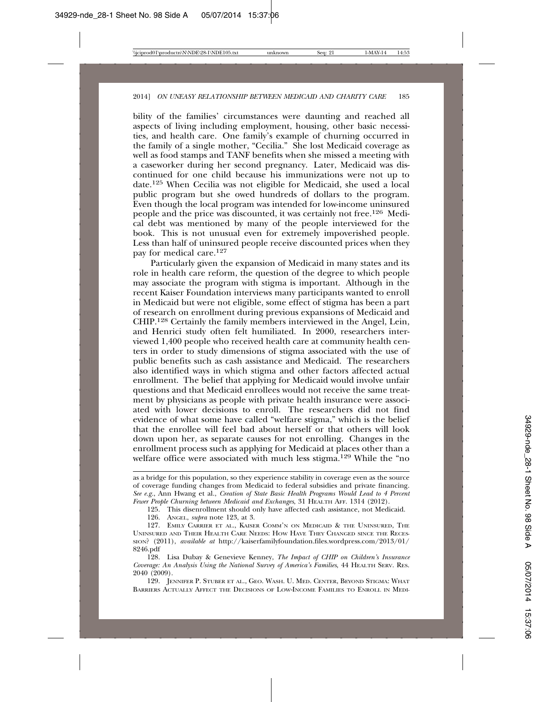bility of the families' circumstances were daunting and reached all aspects of living including employment, housing, other basic necessities, and health care. One family's example of churning occurred in the family of a single mother, "Cecilia." She lost Medicaid coverage as well as food stamps and TANF benefits when she missed a meeting with a caseworker during her second pregnancy. Later, Medicaid was discontinued for one child because his immunizations were not up to date.125 When Cecilia was not eligible for Medicaid, she used a local public program but she owed hundreds of dollars to the program. Even though the local program was intended for low-income uninsured people and the price was discounted, it was certainly not free.126 Medical debt was mentioned by many of the people interviewed for the book. This is not unusual even for extremely impoverished people. Less than half of uninsured people receive discounted prices when they pay for medical care.127

Particularly given the expansion of Medicaid in many states and its role in health care reform, the question of the degree to which people may associate the program with stigma is important. Although in the recent Kaiser Foundation interviews many participants wanted to enroll in Medicaid but were not eligible, some effect of stigma has been a part of research on enrollment during previous expansions of Medicaid and CHIP.128 Certainly the family members interviewed in the Angel, Lein, and Henrici study often felt humiliated. In 2000, researchers interviewed 1,400 people who received health care at community health centers in order to study dimensions of stigma associated with the use of public benefits such as cash assistance and Medicaid. The researchers also identified ways in which stigma and other factors affected actual enrollment. The belief that applying for Medicaid would involve unfair questions and that Medicaid enrollees would not receive the same treatment by physicians as people with private health insurance were associated with lower decisions to enroll. The researchers did not find evidence of what some have called "welfare stigma," which is the belief that the enrollee will feel bad about herself or that others will look down upon her, as separate causes for not enrolling. Changes in the enrollment process such as applying for Medicaid at places other than a welfare office were associated with much less stigma.<sup>129</sup> While the "no

125. This disenrollment should only have affected cash assistance, not Medicaid.

126. ANGEL, *supra* note 123, at 3.

129. JENNIFER P. STUBER ET AL., GEO. WASH. U. MED. CENTER, BEYOND STIGMA: WHAT BARRIERS ACTUALLY AFFECT THE DECISIONS OF LOW-INCOME FAMILIES TO ENROLL IN MEDI-

as a bridge for this population, so they experience stability in coverage even as the source of coverage funding changes from Medicaid to federal subsidies and private financing. *See e.g.*, Ann Hwang et al., *Creation of State Basic Health Programs Would Lead to 4 Percent Fewer People Churning between Medicaid and Exchanges*, 31 HEALTH AFF. 1314 (2012).

<sup>127.</sup> EMILY CARRIER ET AL., KAISER COMM'N ON MEDICAID & THE UNINSURED, THE UNINSURED AND THEIR HEALTH CARE NEEDS: HOW HAVE THEY CHANGED SINCE THE RECES-SION? (2011), *available at* http://kaiserfamilyfoundation.files.wordpress.com/2013/01/ 8246.pdf

<sup>128.</sup> Lisa Dubay & Genevieve Kenney, *The Impact of CHIP on Children's Insurance Coverage: An Analysis Using the National Survey of America's Families*, 44 HEALTH SERV. RES. 2040 (2009).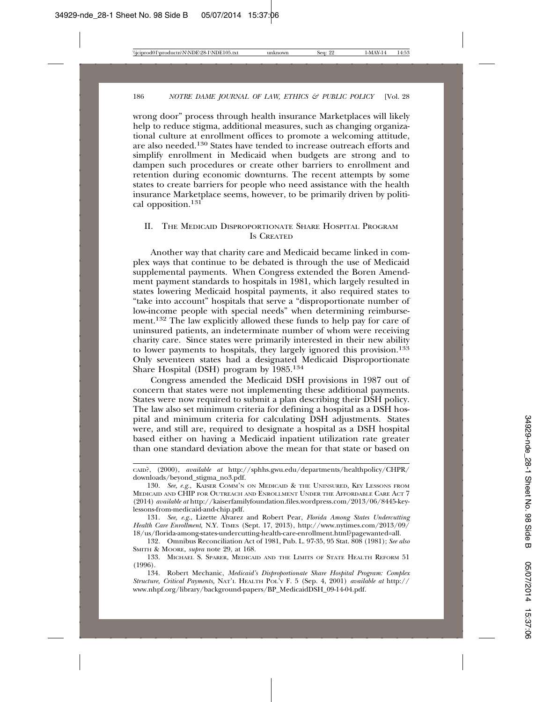wrong door" process through health insurance Marketplaces will likely help to reduce stigma, additional measures, such as changing organizational culture at enrollment offices to promote a welcoming attitude, are also needed.130 States have tended to increase outreach efforts and simplify enrollment in Medicaid when budgets are strong and to dampen such procedures or create other barriers to enrollment and retention during economic downturns. The recent attempts by some states to create barriers for people who need assistance with the health insurance Marketplace seems, however, to be primarily driven by political opposition.131

#### II. THE MEDICAID DISPROPORTIONATE SHARE HOSPITAL PROGRAM IS CREATED

Another way that charity care and Medicaid became linked in complex ways that continue to be debated is through the use of Medicaid supplemental payments. When Congress extended the Boren Amendment payment standards to hospitals in 1981, which largely resulted in states lowering Medicaid hospital payments, it also required states to "take into account" hospitals that serve a "disproportionate number of low-income people with special needs" when determining reimbursement.<sup>132</sup> The law explicitly allowed these funds to help pay for care of uninsured patients, an indeterminate number of whom were receiving charity care. Since states were primarily interested in their new ability to lower payments to hospitals, they largely ignored this provision.133 Only seventeen states had a designated Medicaid Disproportionate Share Hospital (DSH) program by 1985.134

Congress amended the Medicaid DSH provisions in 1987 out of concern that states were not implementing these additional payments. States were now required to submit a plan describing their DSH policy. The law also set minimum criteria for defining a hospital as a DSH hospital and minimum criteria for calculating DSH adjustments. States were, and still are, required to designate a hospital as a DSH hospital based either on having a Medicaid inpatient utilization rate greater than one standard deviation above the mean for that state or based on

CAID?, (2000), *available at* http://sphhs.gwu.edu/departments/healthpolicy/CHPR/ downloads/beyond\_stigma\_no3.pdf.

<sup>130.</sup> *See, e.g.*, KAISER COMM'N ON MEDICAID & THE UNINSURED, KEY LESSONS FROM MEDICAID AND CHIP FOR OUTREACH AND ENROLLMENT UNDER THE AFFORDABLE CARE ACT 7 (2014) *available at* http://kaiserfamilyfoundation.files.wordpress.com/2013/06/8445-keylessons-from-medicaid-and-chip.pdf.

<sup>131.</sup> *See, e.g*., Lizette Alvarez and Robert Pear, *Florida Among States Undercutting Health Care Enrollment*, N.Y. TIMES (Sept. 17, 2013), http://www.nytimes.com/2013/09/ 18/us/florida-among-states-undercutting-health-care-enrollment.html?pagewanted=all.

<sup>132.</sup> Omnibus Reconciliation Act of 1981, Pub. L. 97-35, 95 Stat. 808 (1981); *See also* SMITH & MOORE, *supra* note 29, at 168.

<sup>133.</sup> MICHAEL S. SPARER, MEDICAID AND THE LIMITS OF STATE HEALTH REFORM 51 (1996).

<sup>134.</sup> Robert Mechanic, *Medicaid's Disproportionate Share Hospital Program: Complex Structure, Critical Payments,* NAT'L HEALTH POL'Y F. 5 (Sep. 4, 2001) *available at* http:// www.nhpf.org/library/background-papers/BP\_MedicaidDSH\_09-14-04.pdf.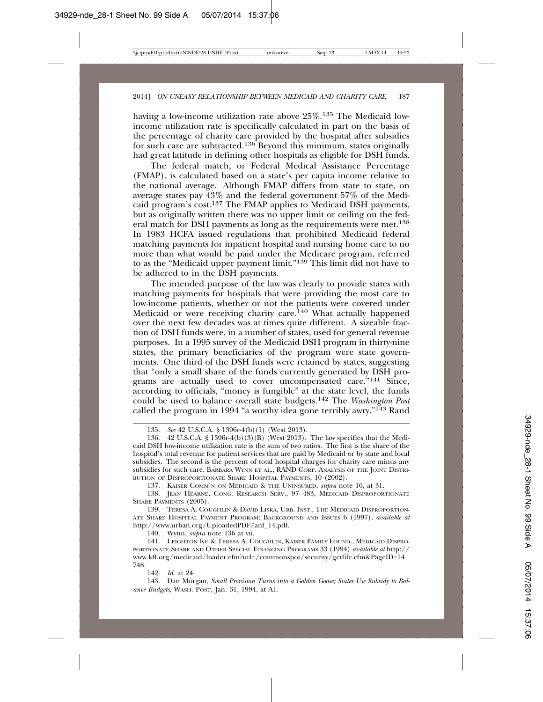having a low-income utilization rate above 25%.135 The Medicaid lowincome utilization rate is specifically calculated in part on the basis of the percentage of charity care provided by the hospital after subsidies for such care are subtracted.<sup>136</sup> Beyond this minimum, states originally had great latitude in defining other hospitals as eligible for DSH funds.

The federal match, or Federal Medical Assistance Percentage (FMAP), is calculated based on a state's per capita income relative to the national average. Although FMAP differs from state to state, on average states pay 43% and the federal government 57% of the Medicaid program's cost.137 The FMAP applies to Medicaid DSH payments, but as originally written there was no upper limit or ceiling on the federal match for DSH payments as long as the requirements were met.138 In 1983 HCFA issued regulations that prohibited Medicaid federal matching payments for inpatient hospital and nursing home care to no more than what would be paid under the Medicare program, referred to as the "Medicaid upper payment limit."139 This limit did not have to be adhered to in the DSH payments.

The intended purpose of the law was clearly to provide states with matching payments for hospitals that were providing the most care to low-income patients, whether or not the patients were covered under Medicaid or were receiving charity care.<sup>140</sup> What actually happened over the next few decades was at times quite different. A sizeable fraction of DSH funds were, in a number of states, used for general revenue purposes. In a 1995 survey of the Medicaid DSH program in thirty-nine states, the primary beneficiaries of the program were state governments. One third of the DSH funds were retained by states, suggesting that "only a small share of the funds currently generated by DSH programs are actually used to cover uncompensated care."<sup>141</sup> Since, according to officials, "money is fungible" at the state level, the funds could be used to balance overall state budgets.142 The *Washington Post* called the program in 1994 "a worthy idea gone terribly awry."<sup>143</sup> Rand

137. KAISER COMM'N ON MEDICAID & THE UNINSURED, *supra* note 16, at 31.

138. JEAN HEARNE, CONG. RESEARCH SERV., 97–483, MEDICAID DISPROPORTIONATE SHARE PAYMENTS (2005).

139. TERESA A. COUGHLIN & DAVID LISKA, URB. INST., THE MEDICAID DISPROPORTION-ATE SHARE HOSPITAL PAYMENT PROGRAM: BACKGROUND AND ISSUES 6 (1997), *available at* http://www.urban.org/UploadedPDF/anf\_14.pdf.

140. Wynn, *supra* note 136 at vii.

141. LEIGHTON KU & TERESA A. COUGHLIN, KAISER FAMILY FOUND., MEDICAID DISPRO-PORTIONATE SHARE AND OTHER SPECIAL FINANCING PROGRAMS 33 (1994) *available at* http:// www.kff.org/medicaid/loader.cfm?url=/commonspot/security/getfile.cfm&PageID=14 748.

142. *Id.* at 24.

143. Dan Morgan, *Small Provision Turns into a Golden Goose; States Use Subsidy to Balance Budgets*, WASH. POST, Jan. 31, 1994, at A1.

<sup>135.</sup> *See* 42 U.S.C.A. § 1396r-4(b)(1) (West 2013).

<sup>42</sup> U.S.C.A. § 1396r-4(b)(3)(B) (West 2013). The law specifies that the Medicaid DSH low-income utilization rate is the sum of two ratios. The first is the share of the hospital's total revenue for patient services that are paid by Medicaid or by state and local subsidies. The second is the percent of total hospital charges for charity care minus any subsidies for such care. BARBARA WYNN ET AL., RAND CORP. ANALYSIS OF THE JOINT DISTRI-BUTION OF DISPROPORTIONATE SHARE HOSPITAL PAYMENTS*,* 10 (2002).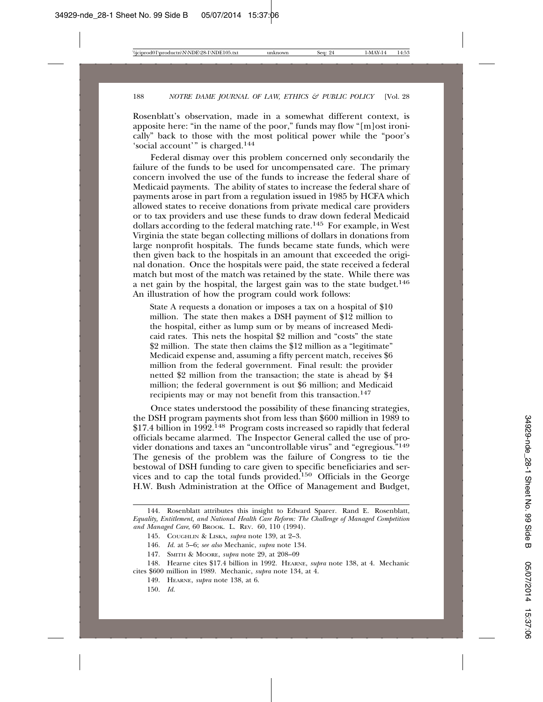Rosenblatt's observation, made in a somewhat different context, is apposite here: "in the name of the poor," funds may flow "[m]ost ironically" back to those with the most political power while the "poor's 'social account'" is charged.144

Federal dismay over this problem concerned only secondarily the failure of the funds to be used for uncompensated care. The primary concern involved the use of the funds to increase the federal share of Medicaid payments. The ability of states to increase the federal share of payments arose in part from a regulation issued in 1985 by HCFA which allowed states to receive donations from private medical care providers or to tax providers and use these funds to draw down federal Medicaid dollars according to the federal matching rate.145 For example, in West Virginia the state began collecting millions of dollars in donations from large nonprofit hospitals. The funds became state funds, which were then given back to the hospitals in an amount that exceeded the original donation. Once the hospitals were paid, the state received a federal match but most of the match was retained by the state. While there was a net gain by the hospital, the largest gain was to the state budget.146 An illustration of how the program could work follows:

State A requests a donation or imposes a tax on a hospital of \$10 million. The state then makes a DSH payment of \$12 million to the hospital, either as lump sum or by means of increased Medicaid rates. This nets the hospital \$2 million and "costs" the state \$2 million. The state then claims the \$12 million as a "legitimate" Medicaid expense and, assuming a fifty percent match, receives \$6 million from the federal government. Final result: the provider netted \$2 million from the transaction; the state is ahead by \$4 million; the federal government is out \$6 million; and Medicaid recipients may or may not benefit from this transaction.<sup>147</sup>

Once states understood the possibility of these financing strategies, the DSH program payments shot from less than \$600 million in 1989 to \$17.4 billion in 1992.<sup>148</sup> Program costs increased so rapidly that federal officials became alarmed. The Inspector General called the use of provider donations and taxes an "uncontrollable virus" and "egregious."149 The genesis of the problem was the failure of Congress to tie the bestowal of DSH funding to care given to specific beneficiaries and services and to cap the total funds provided.150 Officials in the George H.W. Bush Administration at the Office of Management and Budget,

<sup>144.</sup> Rosenblatt attributes this insight to Edward Sparer. Rand E. Rosenblatt, *Equality, Entitlement, and National Health Care Reform: The Challenge of Managed Competition and Managed Care*, 60 BROOK. L. REV. 60, 110 (1994).

<sup>145.</sup> COUGHLIN & LISKA, *supra* note 139, at 2–3.

<sup>146.</sup> *Id.* at 5–6; *see also* Mechanic, *supra* note 134.

<sup>147.</sup> SMITH & MOORE, *supra* note 29, at 208–09

<sup>148.</sup> Hearne cites \$17.4 billion in 1992. HEARNE, *supra* note 138, at 4. Mechanic cites \$600 million in 1989. Mechanic, *supra* note 134, at 4.

<sup>149.</sup> HEARNE, *supra* note 138, at 6.

<sup>150.</sup> *Id.*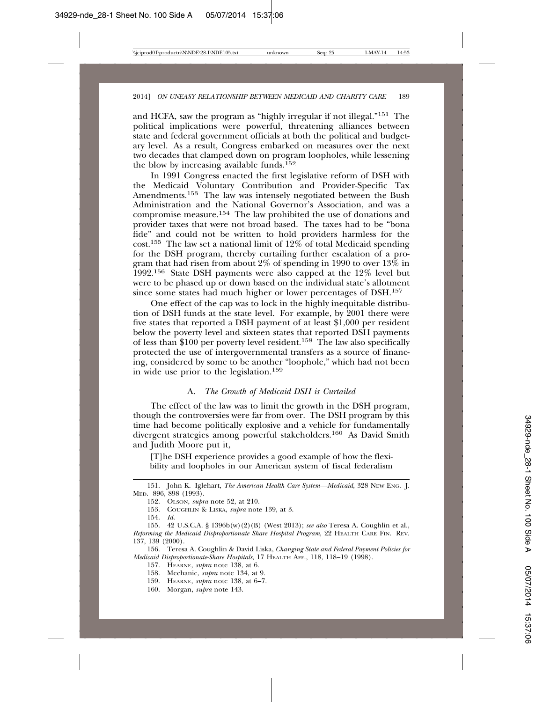and HCFA, saw the program as "highly irregular if not illegal."151 The political implications were powerful, threatening alliances between state and federal government officials at both the political and budgetary level. As a result, Congress embarked on measures over the next two decades that clamped down on program loopholes, while lessening the blow by increasing available funds.<sup>152</sup>

In 1991 Congress enacted the first legislative reform of DSH with the Medicaid Voluntary Contribution and Provider-Specific Tax Amendments.153 The law was intensely negotiated between the Bush Administration and the National Governor's Association, and was a compromise measure.154 The law prohibited the use of donations and provider taxes that were not broad based. The taxes had to be "bona fide" and could not be written to hold providers harmless for the cost.<sup>155</sup> The law set a national limit of  $12\%$  of total Medicaid spending for the DSH program, thereby curtailing further escalation of a program that had risen from about 2% of spending in 1990 to over 13% in 1992.156 State DSH payments were also capped at the 12% level but were to be phased up or down based on the individual state's allotment since some states had much higher or lower percentages of DSH.157

One effect of the cap was to lock in the highly inequitable distribution of DSH funds at the state level. For example, by 2001 there were five states that reported a DSH payment of at least \$1,000 per resident below the poverty level and sixteen states that reported DSH payments of less than \$100 per poverty level resident.158 The law also specifically protected the use of intergovernmental transfers as a source of financing, considered by some to be another "loophole," which had not been in wide use prior to the legislation.159

#### A. *The Growth of Medicaid DSH is Curtailed*

The effect of the law was to limit the growth in the DSH program, though the controversies were far from over. The DSH program by this time had become politically explosive and a vehicle for fundamentally divergent strategies among powerful stakeholders.160 As David Smith and Judith Moore put it,

[T]he DSH experience provides a good example of how the flexibility and loopholes in our American system of fiscal federalism

<sup>151.</sup> John K. Iglehart, *The American Health Care System—Medicaid*, 328 NEW ENG. J. MED. 896, 898 (1993).

<sup>152.</sup> OLSON, *supra* note 52, at 210.

<sup>153.</sup> COUGHLIN & LISKA, *supra* note 139, at 3.

<sup>154.</sup> *Id.*

<sup>155. 42</sup> U.S.C.A. § 1396b(w)(2)(B) (West 2013); *see also* Teresa A. Coughlin et al., *Reforming the Medicaid Disproportionate Share Hospital Program*, 22 HEALTH CARE FIN. REV. 137, 139 (2000).

<sup>156.</sup> Teresa A. Coughlin & David Liska, *Changing State and Federal Payment Policies for Medicaid Disproportionate-Share Hospitals*, 17 HEALTH AFF., 118, 118–19 (1998).

<sup>157.</sup> HEARNE, *supra* note 138, at 6.

<sup>158.</sup> Mechanic, *supra* note 134, at 9.

<sup>159.</sup> HEARNE, *supra* note 138, at 6–7.

<sup>160.</sup> Morgan, *supra* note 143.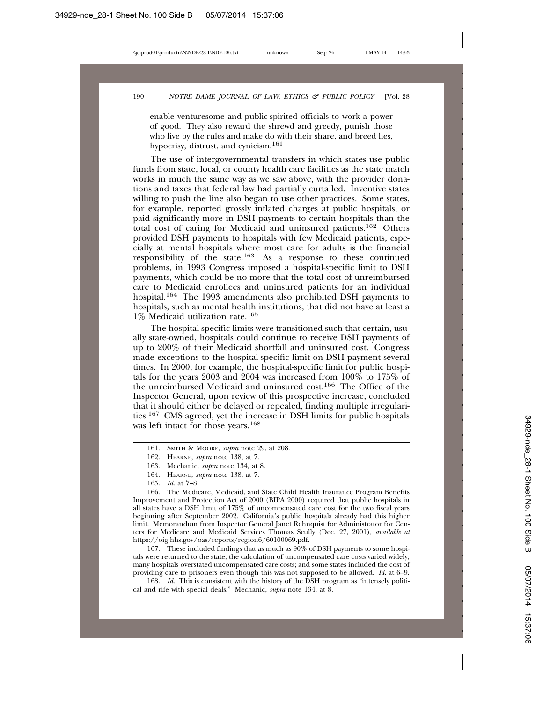enable venturesome and public-spirited officials to work a power of good. They also reward the shrewd and greedy, punish those who live by the rules and make do with their share, and breed lies, hypocrisy, distrust, and cynicism.161

The use of intergovernmental transfers in which states use public funds from state, local, or county health care facilities as the state match works in much the same way as we saw above, with the provider donations and taxes that federal law had partially curtailed. Inventive states willing to push the line also began to use other practices. Some states, for example, reported grossly inflated charges at public hospitals, or paid significantly more in DSH payments to certain hospitals than the total cost of caring for Medicaid and uninsured patients.162 Others provided DSH payments to hospitals with few Medicaid patients, especially at mental hospitals where most care for adults is the financial responsibility of the state.163 As a response to these continued problems, in 1993 Congress imposed a hospital-specific limit to DSH payments, which could be no more that the total cost of unreimbursed care to Medicaid enrollees and uninsured patients for an individual hospital.164 The 1993 amendments also prohibited DSH payments to hospitals, such as mental health institutions, that did not have at least a 1% Medicaid utilization rate.165

The hospital-specific limits were transitioned such that certain, usually state-owned, hospitals could continue to receive DSH payments of up to 200% of their Medicaid shortfall and uninsured cost. Congress made exceptions to the hospital-specific limit on DSH payment several times. In 2000, for example, the hospital-specific limit for public hospitals for the years 2003 and 2004 was increased from 100% to 175% of the unreimbursed Medicaid and uninsured cost.166 The Office of the Inspector General, upon review of this prospective increase, concluded that it should either be delayed or repealed, finding multiple irregularities.167 CMS agreed, yet the increase in DSH limits for public hospitals was left intact for those years.168

164. HEARNE, *supra* note 138, at 7.

167. These included findings that as much as 90% of DSH payments to some hospitals were returned to the state; the calculation of uncompensated care costs varied widely; many hospitals overstated uncompensated care costs; and some states included the cost of providing care to prisoners even though this was not supposed to be allowed. *Id.* at 6–9.

168. *Id.* This is consistent with the history of the DSH program as "intensely political and rife with special deals." Mechanic, *supra* note 134, at 8.

<sup>161.</sup> SMITH & MOORE, *supra* note 29, at 208.

<sup>162.</sup> HEARNE, *supra* note 138, at 7.

<sup>163.</sup> Mechanic, *supra* note 134, at 8.

<sup>165.</sup> *Id.* at 7–8.

<sup>166.</sup> The Medicare, Medicaid, and State Child Health Insurance Program Benefits Improvement and Protection Act of 2000 (BIPA 2000) required that public hospitals in all states have a DSH limit of 175% of uncompensated care cost for the two fiscal years beginning after September 2002. California's public hospitals already had this higher limit. Memorandum from Inspector General Janet Rehnquist for Administrator for Centers for Medicare and Medicaid Services Thomas Scully (Dec. 27, 2001), *available at* https://oig.hhs.gov/oas/reports/region6/60100069.pdf.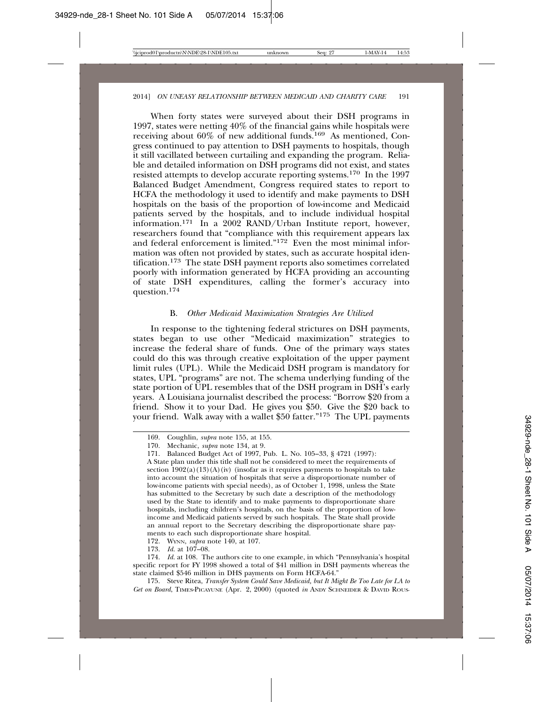When forty states were surveyed about their DSH programs in 1997, states were netting 40% of the financial gains while hospitals were receiving about 60% of new additional funds.169 As mentioned, Congress continued to pay attention to DSH payments to hospitals, though it still vacillated between curtailing and expanding the program. Reliable and detailed information on DSH programs did not exist, and states resisted attempts to develop accurate reporting systems.170 In the 1997 Balanced Budget Amendment, Congress required states to report to HCFA the methodology it used to identify and make payments to DSH hospitals on the basis of the proportion of low-income and Medicaid patients served by the hospitals, and to include individual hospital information.<sup>171</sup> In a 2002 RAND/Urban Institute report, however, researchers found that "compliance with this requirement appears lax and federal enforcement is limited."172 Even the most minimal information was often not provided by states, such as accurate hospital identification.173 The state DSH payment reports also sometimes correlated poorly with information generated by HCFA providing an accounting of state DSH expenditures, calling the former's accuracy into question.<sup>174</sup>

#### B. *Other Medicaid Maximization Strategies Are Utilized*

In response to the tightening federal strictures on DSH payments, states began to use other "Medicaid maximization" strategies to increase the federal share of funds. One of the primary ways states could do this was through creative exploitation of the upper payment limit rules (UPL). While the Medicaid DSH program is mandatory for states, UPL "programs" are not. The schema underlying funding of the state portion of UPL resembles that of the DSH program in DSH's early years. A Louisiana journalist described the process: "Borrow \$20 from a friend. Show it to your Dad. He gives you \$50. Give the \$20 back to your friend. Walk away with a wallet \$50 fatter."175 The UPL payments

175. Steve Ritea, *Transfer System Could Save Medicaid, but It Might Be Too Late for LA to Get on Board*, TIMES-PICAYUNE (Apr. 2, 2000) (quoted *in* ANDY SCHNEIDER & DAVID ROUS-

<sup>169.</sup> Coughlin, *supra* note 155, at 155.

<sup>170.</sup> Mechanic, *supra* note 134, at 9.

<sup>171.</sup> Balanced Budget Act of 1997, Pub. L. No. 105–33, § 4721 (1997):

A State plan under this title shall not be considered to meet the requirements of section  $1902(a)(13)(A)(iv)$  (insofar as it requires payments to hospitals to take into account the situation of hospitals that serve a disproportionate number of low-income patients with special needs), as of October 1, 1998, unless the State has submitted to the Secretary by such date a description of the methodology used by the State to identify and to make payments to disproportionate share hospitals, including children's hospitals, on the basis of the proportion of lowincome and Medicaid patients served by such hospitals. The State shall provide an annual report to the Secretary describing the disproportionate share payments to each such disproportionate share hospital.

<sup>172.</sup> WYNN, *supra* note 140, at 107.

<sup>173.</sup> *Id.* at 107–08.

<sup>174.</sup> *Id.* at 108. The authors cite to one example, in which "Pennsylvania's hospital specific report for FY 1998 showed a total of \$41 million in DSH payments whereas the state claimed \$546 million in DHS payments on Form HCFA-64."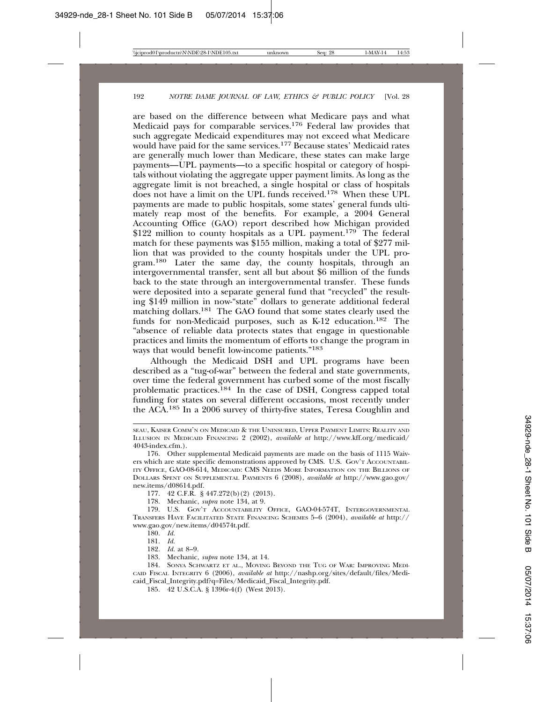are based on the difference between what Medicare pays and what Medicaid pays for comparable services.<sup>176</sup> Federal law provides that such aggregate Medicaid expenditures may not exceed what Medicare would have paid for the same services.<sup>177</sup> Because states' Medicaid rates are generally much lower than Medicare, these states can make large payments—UPL payments—to a specific hospital or category of hospitals without violating the aggregate upper payment limits. As long as the aggregate limit is not breached, a single hospital or class of hospitals does not have a limit on the UPL funds received.178 When these UPL payments are made to public hospitals, some states' general funds ultimately reap most of the benefits. For example, a 2004 General Accounting Office (GAO) report described how Michigan provided \$122 million to county hospitals as a UPL payment.<sup>179</sup> The federal match for these payments was \$155 million, making a total of \$277 million that was provided to the county hospitals under the UPL program.180 Later the same day, the county hospitals, through an intergovernmental transfer, sent all but about \$6 million of the funds back to the state through an intergovernmental transfer. These funds were deposited into a separate general fund that "recycled" the resulting \$149 million in now-"state" dollars to generate additional federal matching dollars.181 The GAO found that some states clearly used the funds for non-Medicaid purposes, such as K-12 education.<sup>182</sup> The "absence of reliable data protects states that engage in questionable practices and limits the momentum of efforts to change the program in ways that would benefit low-income patients."183

Although the Medicaid DSH and UPL programs have been described as a "tug-of-war" between the federal and state governments, over time the federal government has curbed some of the most fiscally problematic practices.184 In the case of DSH, Congress capped total funding for states on several different occasions, most recently under the ACA.185 In a 2006 survey of thirty-five states, Teresa Coughlin and

177. 42 C.F.R. § 447.272(b)(2) (2013).

178. Mechanic, *supra* note 134, at 9.

179. U.S. GOV'T ACCOUNTABILITY OFFICE, GAO-04-574T, INTERGOVERNMENTAL TRANSFERS HAVE FACILITATED STATE FINANCING SCHEMES 5–6 (2004), *available at* http:// www.gao.gov/new.items/d04574t.pdf.

180. *Id.*

181. *Id.*

182. *Id.* at 8–9.

183. Mechanic, *supra* note 134, at 14.

184. SONYA SCHWARTZ ET AL., MOVING BEYOND THE TUG OF WAR: IMPROVING MEDI-CAID FISCAL INTEGRITY 6 (2006), *available at* http://nashp.org/sites/default/files/Medicaid\_Fiscal\_Integrity.pdf?q=Files/Medicaid\_Fiscal\_Integrity.pdf.

185. 42 U.S.C.A. § 1396r-4(f) (West 2013).

SEAU, KAISER COMM'N ON MEDICAID & THE UNINSURED, UPPER PAYMENT LIMITS: REALITY AND ILLUSION IN MEDICAID FINANCING 2 (2002), *available at* http://www.kff.org/medicaid/ 4043-index.cfm.).

<sup>176.</sup> Other supplemental Medicaid payments are made on the basis of 1115 Waivers which are state specific demonstrations approved by CMS. U.S. GOV'T ACCOUNTABIL-ITY OFFICE, GAO-08-614, MEDICAID: CMS NEEDS MORE INFORMATION ON THE BILLIONS OF DOLLARS SPENT ON SUPPLEMENTAL PAYMENTS 6 (2008), *available at* http://www.gao.gov/ new.items/d08614.pdf.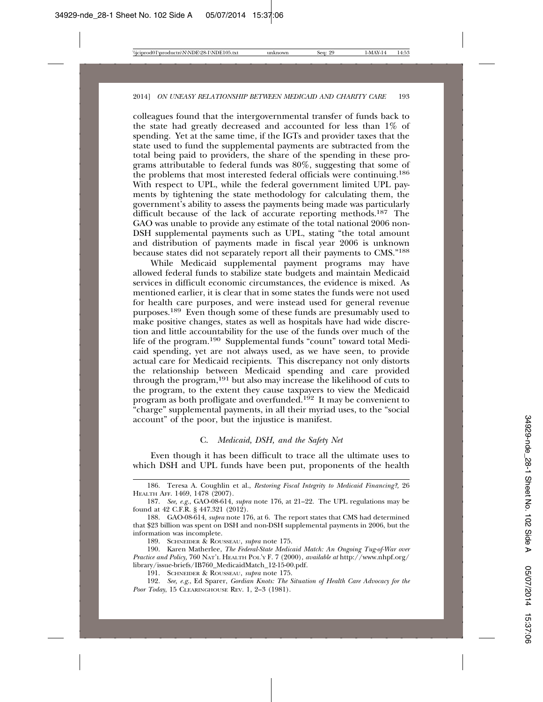colleagues found that the intergovernmental transfer of funds back to the state had greatly decreased and accounted for less than 1% of spending. Yet at the same time, if the IGTs and provider taxes that the state used to fund the supplemental payments are subtracted from the total being paid to providers, the share of the spending in these programs attributable to federal funds was 80%, suggesting that some of the problems that most interested federal officials were continuing.186 With respect to UPL, while the federal government limited UPL payments by tightening the state methodology for calculating them, the government's ability to assess the payments being made was particularly difficult because of the lack of accurate reporting methods.187 The GAO was unable to provide any estimate of the total national 2006 non-DSH supplemental payments such as UPL, stating "the total amount and distribution of payments made in fiscal year 2006 is unknown because states did not separately report all their payments to CMS."188

While Medicaid supplemental payment programs may have allowed federal funds to stabilize state budgets and maintain Medicaid services in difficult economic circumstances, the evidence is mixed. As mentioned earlier, it is clear that in some states the funds were not used for health care purposes, and were instead used for general revenue purposes.189 Even though some of these funds are presumably used to make positive changes, states as well as hospitals have had wide discretion and little accountability for the use of the funds over much of the life of the program.190 Supplemental funds "count" toward total Medicaid spending, yet are not always used, as we have seen, to provide actual care for Medicaid recipients. This discrepancy not only distorts the relationship between Medicaid spending and care provided through the program,191 but also may increase the likelihood of cuts to the program, to the extent they cause taxpayers to view the Medicaid program as both profligate and overfunded.<sup>192</sup> It may be convenient to "charge" supplemental payments, in all their myriad uses, to the "social account" of the poor, but the injustice is manifest.

#### C. *Medicaid, DSH, and the Safety Net*

Even though it has been difficult to trace all the ultimate uses to which DSH and UPL funds have been put, proponents of the health

<sup>186.</sup> Teresa A. Coughlin et al., *Restoring Fiscal Integrity to Medicaid Financing?,* 26 HEALTH AFF. 1469, 1478 (2007).

<sup>187.</sup> *See, e.g.*, GAO-08-614, *supra* note 176, at 21–22. The UPL regulations may be found at 42 C.F.R. § 447.321 (2012).

<sup>188.</sup> GAO-08-614, *supra* note 176, at 6. The report states that CMS had determined that \$23 billion was spent on DSH and non-DSH supplemental payments in 2006, but the information was incomplete.

<sup>189.</sup> SCHNEIDER & ROUSSEAU, *supra* note 175.

<sup>190.</sup> Karen Matherlee, *The Federal-State Medicaid Match: An Ongoing Tug-of-War over Practice and Policy,* 760 NAT'L HEALTH POL'Y F. 7 (2000), *available at* http://www.nhpf.org/ library/issue-briefs/IB760\_MedicaidMatch\_12-15-00.pdf.

<sup>191.</sup> SCHNEIDER & ROUSSEAU, *supra* note 175.

<sup>192.</sup> *See, e.g.*, Ed Sparer, *Gordian Knots: The Situation of Health Care Advocacy for the Poor Today*, 15 CLEARINGHOUSE REV. 1, 2–3 (1981).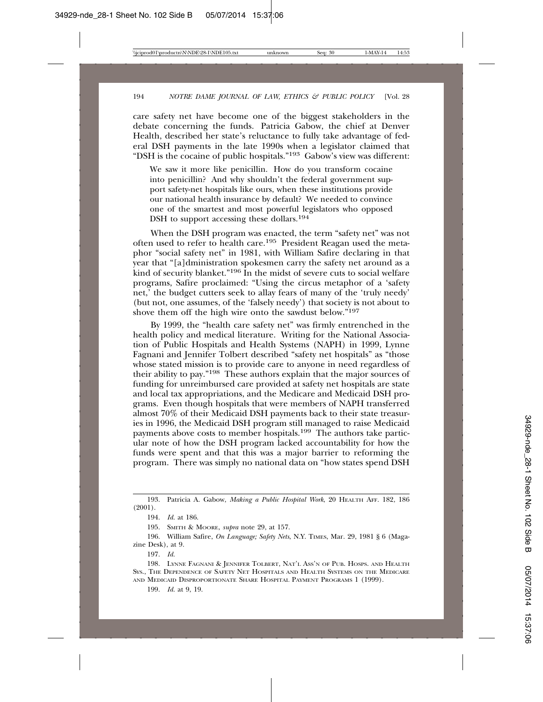care safety net have become one of the biggest stakeholders in the debate concerning the funds. Patricia Gabow, the chief at Denver Health, described her state's reluctance to fully take advantage of federal DSH payments in the late 1990s when a legislator claimed that "DSH is the cocaine of public hospitals."193 Gabow's view was different:

We saw it more like penicillin. How do you transform cocaine into penicillin? And why shouldn't the federal government support safety-net hospitals like ours, when these institutions provide our national health insurance by default? We needed to convince one of the smartest and most powerful legislators who opposed DSH to support accessing these dollars.<sup>194</sup>

When the DSH program was enacted, the term "safety net" was not often used to refer to health care.195 President Reagan used the metaphor "social safety net" in 1981, with William Safire declaring in that year that "[a]dministration spokesmen carry the safety net around as a kind of security blanket."<sup>196</sup> In the midst of severe cuts to social welfare programs, Safire proclaimed: "Using the circus metaphor of a 'safety net,' the budget cutters seek to allay fears of many of the 'truly needy' (but not, one assumes, of the 'falsely needy') that society is not about to shove them off the high wire onto the sawdust below."197

By 1999, the "health care safety net" was firmly entrenched in the health policy and medical literature. Writing for the National Association of Public Hospitals and Health Systems (NAPH) in 1999, Lynne Fagnani and Jennifer Tolbert described "safety net hospitals" as "those whose stated mission is to provide care to anyone in need regardless of their ability to pay."198 These authors explain that the major sources of funding for unreimbursed care provided at safety net hospitals are state and local tax appropriations, and the Medicare and Medicaid DSH programs. Even though hospitals that were members of NAPH transferred almost 70% of their Medicaid DSH payments back to their state treasuries in 1996, the Medicaid DSH program still managed to raise Medicaid payments above costs to member hospitals.199 The authors take particular note of how the DSH program lacked accountability for how the funds were spent and that this was a major barrier to reforming the program. There was simply no national data on "how states spend DSH

<sup>193.</sup> Patricia A. Gabow, *Making a Public Hospital Work*, 20 HEALTH AFF. 182, 186 (2001).

<sup>194.</sup> *Id.* at 186.

<sup>195.</sup> SMITH & MOORE, *supra* note 29, at 157.

<sup>196.</sup> William Safire, *On Language; Safety Nets*, N.Y. TIMES, Mar. 29, 1981 § 6 (Magazine Desk), at 9.

<sup>197.</sup> *Id.*

<sup>198.</sup> LYNNE FAGNANI & JENNIFER TOLBERT, NAT'L ASS'N OF PUB. HOSPS. AND HEALTH SYS., THE DEPENDENCE OF SAFETY NET HOSPITALS AND HEALTH SYSTEMS ON THE MEDICARE AND MEDICAID DISPROPORTIONATE SHARE HOSPITAL PAYMENT PROGRAMS 1 (1999).

<sup>199.</sup> *Id.* at 9, 19.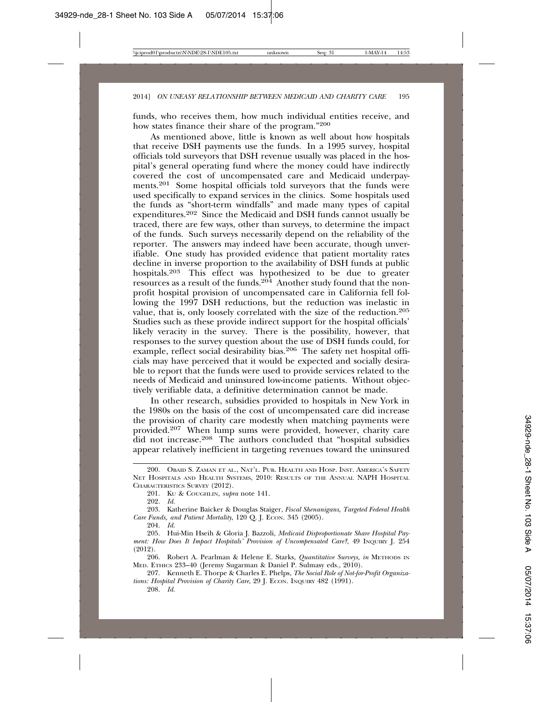funds, who receives them, how much individual entities receive, and how states finance their share of the program."200

As mentioned above, little is known as well about how hospitals that receive DSH payments use the funds. In a 1995 survey, hospital officials told surveyors that DSH revenue usually was placed in the hospital's general operating fund where the money could have indirectly covered the cost of uncompensated care and Medicaid underpayments.201 Some hospital officials told surveyors that the funds were used specifically to expand services in the clinics. Some hospitals used the funds as "short-term windfalls" and made many types of capital expenditures.202 Since the Medicaid and DSH funds cannot usually be traced, there are few ways, other than surveys, to determine the impact of the funds. Such surveys necessarily depend on the reliability of the reporter. The answers may indeed have been accurate, though unverifiable. One study has provided evidence that patient mortality rates decline in inverse proportion to the availability of DSH funds at public hospitals.<sup>203</sup> This effect was hypothesized to be due to greater resources as a result of the funds.<sup>204</sup> Another study found that the nonprofit hospital provision of uncompensated care in California fell following the 1997 DSH reductions, but the reduction was inelastic in value, that is, only loosely correlated with the size of the reduction.205 Studies such as these provide indirect support for the hospital officials' likely veracity in the survey. There is the possibility, however, that responses to the survey question about the use of DSH funds could, for example, reflect social desirability bias.<sup>206</sup> The safety net hospital officials may have perceived that it would be expected and socially desirable to report that the funds were used to provide services related to the needs of Medicaid and uninsured low-income patients. Without objectively verifiable data, a definitive determination cannot be made.

In other research, subsidies provided to hospitals in New York in the 1980s on the basis of the cost of uncompensated care did increase the provision of charity care modestly when matching payments were provided.207 When lump sums were provided, however, charity care did not increase.208 The authors concluded that "hospital subsidies appear relatively inefficient in targeting revenues toward the uninsured

208. *Id.*

<sup>200.</sup> OBAID S. ZAMAN ET AL., NAT'L. PUB. HEALTH AND HOSP. INST. AMERICA'S SAFETY NET HOSPITALS AND HEALTH SYSTEMS, 2010: RESULTS OF THE ANNUAL NAPH HOSPITAL CHARACTERISTICS SURVEY (2012).

<sup>201.</sup> KU & COUGHLIN, *supra* note 141.

<sup>202.</sup> *Id.*

<sup>203.</sup> Katherine Baicker & Douglas Staiger, *Fiscal Shenanigans, Targeted Federal Health Care Funds, and Patient Mortality, 120 Q. J. ECON. 345 (2005).* 

<sup>204.</sup> *Id.*

<sup>205.</sup> Hui-Min Hseih & Gloria J. Bazzoli, *Medicaid Disproportionate Share Hospital Payment: How Does It Impact Hospitals' Provision of Uncompensated Care?*, 49 INQUIRY J. 254 (2012).

<sup>206.</sup> Robert A. Pearlman & Helene E. Starks, *Quantitative Surveys, in* METHODS IN MED. ETHICS 233–40 (Jeremy Sugarman & Daniel P. Sulmasy eds., 2010).

<sup>207.</sup> Kenneth E. Thorpe & Charles E. Phelps, *The Social Role of Not-for-Profit Organiza*tions: Hospital Provision of Charity Care, 29 J. ECON. INQUIRY 482 (1991).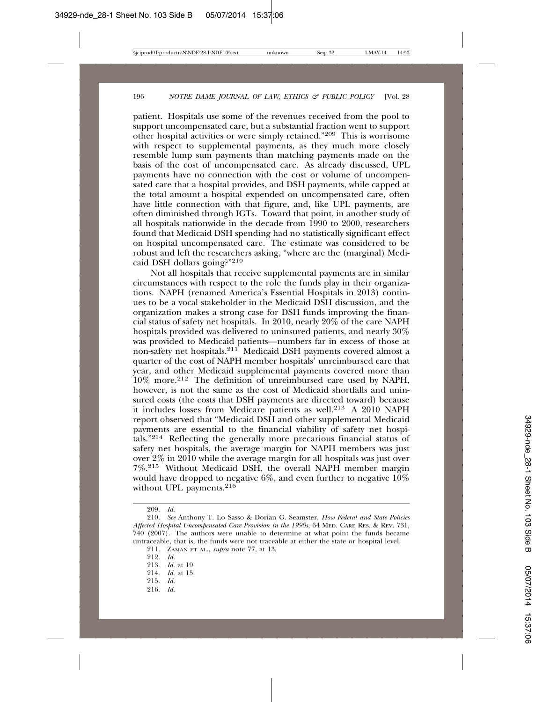patient. Hospitals use some of the revenues received from the pool to support uncompensated care, but a substantial fraction went to support other hospital activities or were simply retained."209 This is worrisome with respect to supplemental payments, as they much more closely resemble lump sum payments than matching payments made on the basis of the cost of uncompensated care. As already discussed, UPL payments have no connection with the cost or volume of uncompensated care that a hospital provides, and DSH payments, while capped at the total amount a hospital expended on uncompensated care, often have little connection with that figure, and, like UPL payments, are often diminished through IGTs. Toward that point, in another study of all hospitals nationwide in the decade from 1990 to 2000, researchers found that Medicaid DSH spending had no statistically significant effect on hospital uncompensated care. The estimate was considered to be robust and left the researchers asking, "where are the (marginal) Medicaid DSH dollars going?"210

Not all hospitals that receive supplemental payments are in similar circumstances with respect to the role the funds play in their organizations. NAPH (renamed America's Essential Hospitals in 2013) continues to be a vocal stakeholder in the Medicaid DSH discussion, and the organization makes a strong case for DSH funds improving the financial status of safety net hospitals. In 2010, nearly 20% of the care NAPH hospitals provided was delivered to uninsured patients, and nearly 30% was provided to Medicaid patients—numbers far in excess of those at non-safety net hospitals.211 Medicaid DSH payments covered almost a quarter of the cost of NAPH member hospitals' unreimbursed care that year, and other Medicaid supplemental payments covered more than 10% more.212 The definition of unreimbursed care used by NAPH, however, is not the same as the cost of Medicaid shortfalls and uninsured costs (the costs that DSH payments are directed toward) because it includes losses from Medicare patients as well.213 A 2010 NAPH report observed that "Medicaid DSH and other supplemental Medicaid payments are essential to the financial viability of safety net hospitals."214 Reflecting the generally more precarious financial status of safety net hospitals, the average margin for NAPH members was just over 2% in 2010 while the average margin for all hospitals was just over 7%.215 Without Medicaid DSH, the overall NAPH member margin would have dropped to negative 6%, and even further to negative  $10\%$ without UPL payments.<sup>216</sup>

- 215. *Id.*
- 216. *Id.*

<sup>209.</sup> *Id.*

<sup>210.</sup> *See* Anthony T. Lo Sasso & Dorian G. Seamster, *How Federal and State Policies Affected Hospital Uncompensated Care Provision in the 1990s*, 64 MED. CARE RES. & REV. 731, 740 (2007). The authors were unable to determine at what point the funds became untraceable, that is, the funds were not traceable at either the state or hospital level.

<sup>211.</sup> ZAMAN ET AL., *supra* note 77, at 13.

<sup>212.</sup> *Id.*

<sup>213.</sup> *Id.* at 19.

<sup>214.</sup> *Id.* at 15.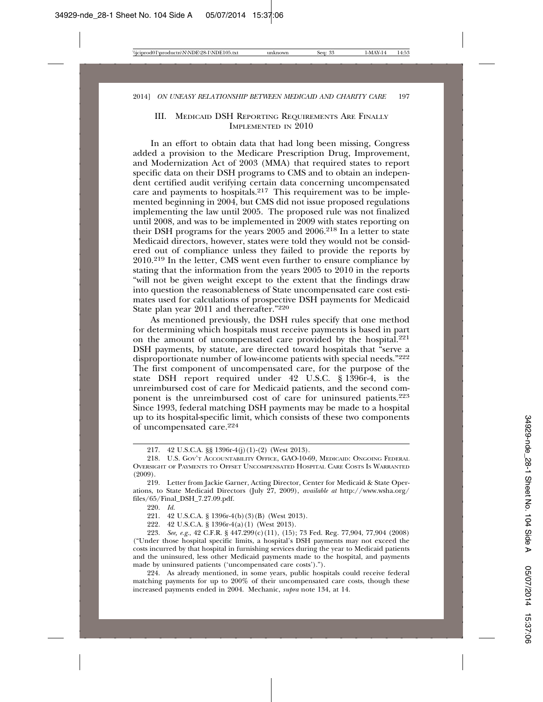#### III. MEDICAID DSH REPORTING REQUIREMENTS ARE FINALLY IMPLEMENTED IN 2010

In an effort to obtain data that had long been missing, Congress added a provision to the Medicare Prescription Drug, Improvement, and Modernization Act of 2003 (MMA) that required states to report specific data on their DSH programs to CMS and to obtain an independent certified audit verifying certain data concerning uncompensated care and payments to hospitals. $217$  This requirement was to be implemented beginning in 2004, but CMS did not issue proposed regulations implementing the law until 2005. The proposed rule was not finalized until 2008, and was to be implemented in 2009 with states reporting on their DSH programs for the years 2005 and 2006.218 In a letter to state Medicaid directors, however, states were told they would not be considered out of compliance unless they failed to provide the reports by 2010.219 In the letter, CMS went even further to ensure compliance by stating that the information from the years 2005 to 2010 in the reports "will not be given weight except to the extent that the findings draw into question the reasonableness of State uncompensated care cost estimates used for calculations of prospective DSH payments for Medicaid State plan year 2011 and thereafter."220

As mentioned previously, the DSH rules specify that one method for determining which hospitals must receive payments is based in part on the amount of uncompensated care provided by the hospital.<sup>221</sup> DSH payments, by statute, are directed toward hospitals that "serve a disproportionate number of low-income patients with special needs."222 The first component of uncompensated care, for the purpose of the state DSH report required under 42 U.S.C. § 1396r-4, is the unreimbursed cost of care for Medicaid patients, and the second component is the unreimbursed cost of care for uninsured patients.223 Since 1993, federal matching DSH payments may be made to a hospital up to its hospital-specific limit, which consists of these two components of uncompensated care.224

220. *Id.*

221. 42 U.S.C.A. § 1396r-4(b)(3)(B) (West 2013).

222. 42 U.S.C.A. § 1396r-4(a)(1) (West 2013).

223. *See, e.g.*, 42 C.F.R. § 447.299(c)(11), (15); 73 Fed. Reg. 77,904, 77,904 (2008) ("Under those hospital specific limits, a hospital's DSH payments may not exceed the costs incurred by that hospital in furnishing services during the year to Medicaid patients and the uninsured, less other Medicaid payments made to the hospital, and payments made by uninsured patients ('uncompensated care costs').").

224. As already mentioned, in some years, public hospitals could receive federal matching payments for up to 200% of their uncompensated care costs, though these increased payments ended in 2004. Mechanic, *supra* note 134, at 14.

<sup>217. 42</sup> U.S.C.A. §§ 1396r-4(j)(1)-(2) (West 2013).

<sup>218.</sup> U.S. GOV'T ACCOUNTABILITY OFFICE, GAO-10-69, MEDICAID: ONGOING FEDERAL OVERSIGHT OF PAYMENTS TO OFFSET UNCOMPENSATED HOSPITAL CARE COSTS IS WARRANTED (2009).

<sup>219.</sup> Letter from Jackie Garner, Acting Director, Center for Medicaid & State Operations, to State Medicaid Directors (July 27, 2009), *available at* http://www.wsha.org/ files/65/Final\_DSH\_7.27.09.pdf.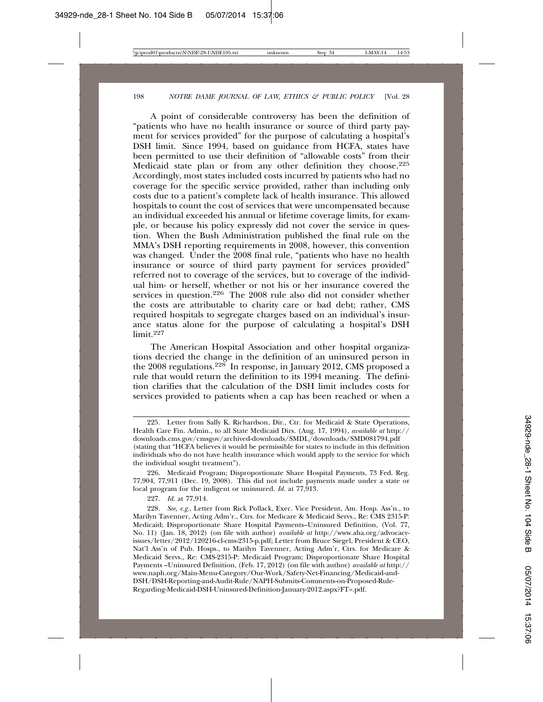A point of considerable controversy has been the definition of "patients who have no health insurance or source of third party payment for services provided" for the purpose of calculating a hospital's DSH limit. Since 1994, based on guidance from HCFA, states have been permitted to use their definition of "allowable costs" from their Medicaid state plan or from any other definition they choose.<sup>225</sup> Accordingly, most states included costs incurred by patients who had no coverage for the specific service provided, rather than including only costs due to a patient's complete lack of health insurance. This allowed hospitals to count the cost of services that were uncompensated because an individual exceeded his annual or lifetime coverage limits, for example, or because his policy expressly did not cover the service in question. When the Bush Administration published the final rule on the MMA's DSH reporting requirements in 2008, however, this convention was changed. Under the 2008 final rule, "patients who have no health insurance or source of third party payment for services provided" referred not to coverage of the services, but to coverage of the individual him- or herself, whether or not his or her insurance covered the services in question.<sup>226</sup> The 2008 rule also did not consider whether the costs are attributable to charity care or bad debt; rather, CMS required hospitals to segregate charges based on an individual's insurance status alone for the purpose of calculating a hospital's DSH limit.<sup>227</sup>

The American Hospital Association and other hospital organizations decried the change in the definition of an uninsured person in the 2008 regulations.228 In response, in January 2012, CMS proposed a rule that would return the definition to its 1994 meaning. The definition clarifies that the calculation of the DSH limit includes costs for services provided to patients when a cap has been reached or when a

<sup>225.</sup> Letter from Sally K. Richardson, Dir., Ctr. for Medicaid & State Operations, Health Care Fin. Admin., to all State Medicaid Dirs. (Aug. 17, 1994), *available at* http:// downloads.cms.gov/cmsgov/archived-downloads/SMDL/downloads/SMD081794.pdf (stating that "HCFA believes it would be permissible for states to include in this definition individuals who do not have health insurance which would apply to the service for which the individual sought treatment").

<sup>226.</sup> Medicaid Program; Disproportionate Share Hospital Payments, 73 Fed. Reg. 77,904, 77,911 (Dec. 19, 2008). This did not include payments made under a state or local program for the indigent or uninsured. *Id.* at 77,913.

<sup>227.</sup> *Id.* at 77,914.

<sup>228.</sup> *See, e.g.*, Letter from Rick Pollack, Exec. Vice President, Am. Hosp. Ass'n., to Marilyn Tavenner, Acting Adm'r., Ctrs. for Medicare & Medicaid Servs., Re: CMS 2315-P: Medicaid; Disproportionate Share Hospital Payments–Uninsured Definition, (Vol. 77, No. 11) (Jan. 18, 2012) (on file with author) *available at* http://www.aha.org/advocacyissues/letter/2012/120216-cl-cms-2315-p.pdf; Letter from Bruce Siegel, President & CEO, Nat'l Ass'n of Pub. Hosps., to Marilyn Tavenner, Acting Adm'r, Ctrs. for Medicare & Medicaid Servs., Re: CMS-2315-P: Medicaid Program; Disproportionate Share Hospital Payments –Uninsured Definition, (Feb. 17, 2012) (on file with author) *available at* http:// www.naph.org/Main-Menu-Category/Our-Work/Safety-Net-Financing/Medicaid-and-DSH/DSH-Reporting-and-Audit-Rule/NAPH-Submits-Comments-on-Proposed-Rule-Regarding-Medicaid-DSH-Uninsured-Definition-January-2012.aspx?FT=.pdf.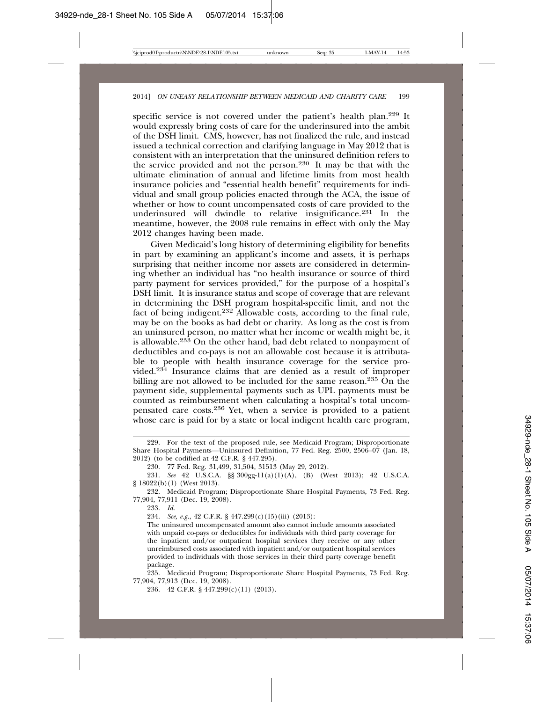specific service is not covered under the patient's health plan.<sup>229</sup> It would expressly bring costs of care for the underinsured into the ambit of the DSH limit. CMS, however, has not finalized the rule, and instead issued a technical correction and clarifying language in May 2012 that is consistent with an interpretation that the uninsured definition refers to the service provided and not the person.230 It may be that with the ultimate elimination of annual and lifetime limits from most health insurance policies and "essential health benefit" requirements for individual and small group policies enacted through the ACA, the issue of whether or how to count uncompensated costs of care provided to the underinsured will dwindle to relative insignificance.231 In the meantime, however, the 2008 rule remains in effect with only the May 2012 changes having been made.

Given Medicaid's long history of determining eligibility for benefits in part by examining an applicant's income and assets, it is perhaps surprising that neither income nor assets are considered in determining whether an individual has "no health insurance or source of third party payment for services provided," for the purpose of a hospital's DSH limit. It is insurance status and scope of coverage that are relevant in determining the DSH program hospital-specific limit, and not the fact of being indigent.<sup>232</sup> Allowable costs, according to the final rule, may be on the books as bad debt or charity. As long as the cost is from an uninsured person, no matter what her income or wealth might be, it is allowable.233 On the other hand, bad debt related to nonpayment of deductibles and co-pays is not an allowable cost because it is attributable to people with health insurance coverage for the service provided.234 Insurance claims that are denied as a result of improper billing are not allowed to be included for the same reason.<sup>235</sup> On the payment side, supplemental payments such as UPL payments must be counted as reimbursement when calculating a hospital's total uncompensated care costs.236 Yet, when a service is provided to a patient whose care is paid for by a state or local indigent health care program,

232. Medicaid Program; Disproportionate Share Hospital Payments, 73 Fed. Reg. 77,904, 77,911 (Dec. 19, 2008).

233. *Id.*

234. *See, e.g.*, 42 C.F.R. § 447.299(c)(15)(iii) (2013):

The uninsured uncompensated amount also cannot include amounts associated with unpaid co-pays or deductibles for individuals with third party coverage for the inpatient and/or outpatient hospital services they receive or any other unreimbursed costs associated with inpatient and/or outpatient hospital services provided to individuals with those services in their third party coverage benefit package.

235. Medicaid Program; Disproportionate Share Hospital Payments, 73 Fed. Reg. 77,904, 77,913 (Dec. 19, 2008).

236. 42 C.F.R. § 447.299(c)(11) (2013).

<sup>229.</sup> For the text of the proposed rule, see Medicaid Program; Disproportionate Share Hospital Payments—Uninsured Definition, 77 Fed. Reg. 2500, 2506–07 (Jan. 18, 2012) (to be codified at 42 C.F.R. § 447.295).

<sup>230. 77</sup> Fed. Reg. 31,499, 31,504, 31513 (May 29, 2012).

<sup>231.</sup> *See* 42 U.S.C.A. §§ 300gg-11(a)(1)(A), (B) (West 2013); 42 U.S.C.A. § 18022(b)(1) (West 2013).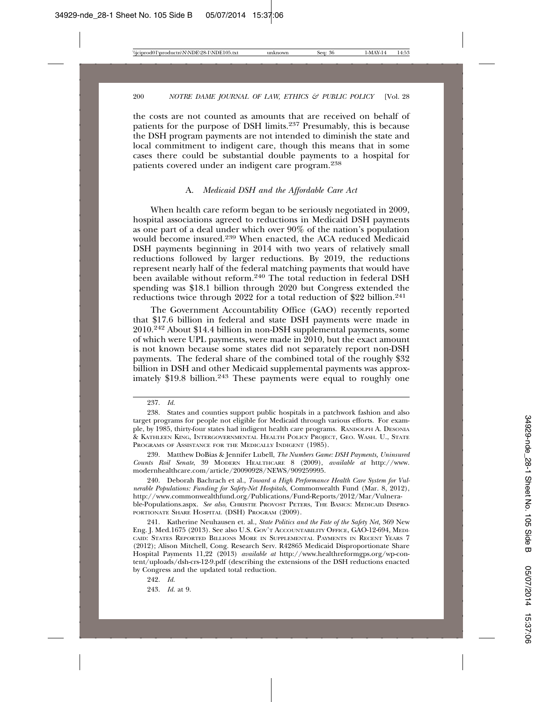the costs are not counted as amounts that are received on behalf of patients for the purpose of DSH limits.237 Presumably, this is because the DSH program payments are not intended to diminish the state and local commitment to indigent care, though this means that in some cases there could be substantial double payments to a hospital for patients covered under an indigent care program.238

#### A. *Medicaid DSH and the Affordable Care Act*

When health care reform began to be seriously negotiated in 2009, hospital associations agreed to reductions in Medicaid DSH payments as one part of a deal under which over 90% of the nation's population would become insured.<sup>239</sup> When enacted, the ACA reduced Medicaid DSH payments beginning in 2014 with two years of relatively small reductions followed by larger reductions. By 2019, the reductions represent nearly half of the federal matching payments that would have been available without reform.<sup>240</sup> The total reduction in federal DSH spending was \$18.1 billion through 2020 but Congress extended the reductions twice through 2022 for a total reduction of \$22 billion.<sup>241</sup>

The Government Accountability Office (GAO) recently reported that \$17.6 billion in federal and state DSH payments were made in 2010.242 About \$14.4 billion in non-DSH supplemental payments, some of which were UPL payments, were made in 2010, but the exact amount is not known because some states did not separately report non-DSH payments. The federal share of the combined total of the roughly \$32 billion in DSH and other Medicaid supplemental payments was approximately \$19.8 billion.<sup>243</sup> These payments were equal to roughly one

240. Deborah Bachrach et al., *Toward a High Performance Health Care System for Vulnerable Populations: Funding for Safety-Net Hospitals*, Commonwealth Fund (Mar. 8, 2012), http://www.commonwealthfund.org/Publications/Fund-Reports/2012/Mar/Vulnerable-Populations.aspx. *See also*, CHRISTIE PROVOST PETERS, THE BASICS: MEDICAID DISPRO-PORTIONATE SHARE HOSPITAL (DSH) PROGRAM (2009).

241. Katherine Neuhausen et. al., *State Politics and the Fate of the Safety Net,* 369 New Eng. J. Med.1675 (2013). See also U.S. GOV'T ACCOUNTABILITY OFFICE, GAO-12-694, MEDI-CAID: STATES REPORTED BILLIONS MORE IN SUPPLEMENTAL PAYMENTS IN RECENT YEARS 7 (2012); Alison Mitchell, Cong. Research Serv. R42865 Medicaid Disproportionate Share Hospital Payments 11,22 (2013) *available at* http://www.healthreformgps.org/wp-content/uploads/dsh-crs-12-9.pdf (describing the extensions of the DSH reductions enacted by Congress and the updated total reduction.

242. *Id.*

243. *Id.* at 9.

<sup>237.</sup> *Id.*

<sup>238.</sup> States and counties support public hospitals in a patchwork fashion and also target programs for people not eligible for Medicaid through various efforts. For example, by 1985, thirty-four states had indigent health care programs. RANDOLPH A. DESONIA & KATHLEEN KING, INTERGOVERNMENTAL HEALTH POLICY PROJECT, GEO. WASH. U., STATE PROGRAMS OF ASSISTANCE FOR THE MEDICALLY INDIGENT (1985).

<sup>239.</sup> Matthew DoBias & Jennifer Lubell, *The Numbers Game: DSH Payments, Uninsured Counts Roil Senate*, 39 MODERN HEALTHCARE 8 (2009), *available at* http://www. modernhealthcare.com/article/20090928/NEWS/909259995.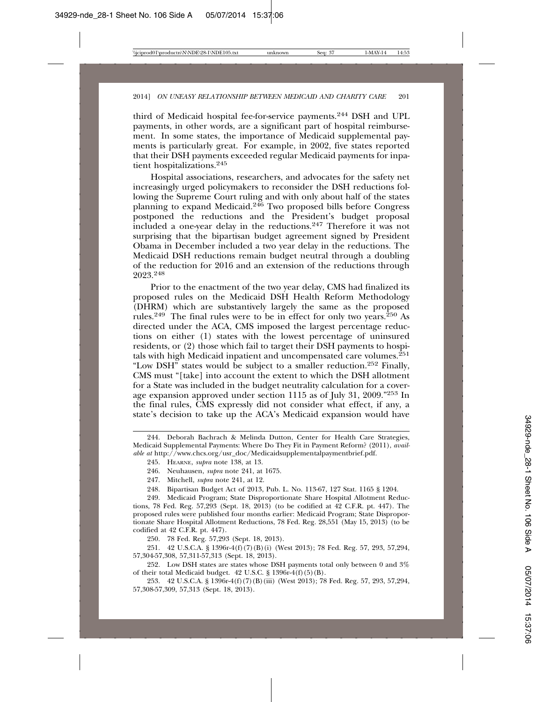third of Medicaid hospital fee-for-service payments.244 DSH and UPL payments, in other words, are a significant part of hospital reimbursement. In some states, the importance of Medicaid supplemental payments is particularly great. For example, in 2002, five states reported that their DSH payments exceeded regular Medicaid payments for inpatient hospitalizations.<sup>245</sup>

Hospital associations, researchers, and advocates for the safety net increasingly urged policymakers to reconsider the DSH reductions following the Supreme Court ruling and with only about half of the states planning to expand Medicaid.246 Two proposed bills before Congress postponed the reductions and the President's budget proposal included a one-year delay in the reductions.247 Therefore it was not surprising that the bipartisan budget agreement signed by President Obama in December included a two year delay in the reductions. The Medicaid DSH reductions remain budget neutral through a doubling of the reduction for 2016 and an extension of the reductions through 2023.<sup>248</sup>

Prior to the enactment of the two year delay, CMS had finalized its proposed rules on the Medicaid DSH Health Reform Methodology (DHRM) which are substantively largely the same as the proposed rules.<sup>249</sup> The final rules were to be in effect for only two years.<sup>250</sup> As directed under the ACA, CMS imposed the largest percentage reductions on either (1) states with the lowest percentage of uninsured residents, or (2) those which fail to target their DSH payments to hospitals with high Medicaid inpatient and uncompensated care volumes. $^{251}$ "Low DSH" states would be subject to a smaller reduction.252 Finally, CMS must "[take] into account the extent to which the DSH allotment for a State was included in the budget neutrality calculation for a coverage expansion approved under section 1115 as of July 31, 2009."253 In the final rules, CMS expressly did not consider what effect, if any, a state's decision to take up the ACA's Medicaid expansion would have

250. 78 Fed. Reg. 57,293 (Sept. 18, 2013).

251. 42 U.S.C.A. § 1396r-4(f)(7)(B)(i) (West 2013); 78 Fed. Reg. 57, 293, 57,294, 57,304-57,308, 57,311-57,313 (Sept. 18, 2013).

252. Low DSH states are states whose DSH payments total only between 0 and 3% of their total Medicaid budget. 42 U.S.C. § 1396r-4(f)(5)(B).

253. 42 U.S.C.A. § 1396r-4(f)(7)(B)(iii) (West 2013); 78 Fed. Reg. 57, 293, 57,294, 57,308-57,309, 57,313 (Sept. 18, 2013).

<sup>244.</sup> Deborah Bachrach & Melinda Dutton, Center for Health Care Strategies, Medicaid Supplemental Payments: Where Do They Fit in Payment Reform? (2011), *available at* http://www.chcs.org/usr\_doc/Medicaidsupplementalpaymentbrief.pdf.

<sup>245.</sup> HEARNE, *supra* note 138, at 13.

<sup>246.</sup> Neuhausen, *supra* note 241, at 1675.

<sup>247.</sup> Mitchell, *supra* note 241, at 12.

<sup>248.</sup> Bipartisan Budget Act of 2013, Pub. L. No. 113-67, 127 Stat. 1165 § 1204.

<sup>249.</sup> Medicaid Program; State Disproportionate Share Hospital Allotment Reductions, 78 Fed. Reg. 57,293 (Sept. 18, 2013) (to be codified at 42 C.F.R. pt. 447). The proposed rules were published four months earlier: Medicaid Program; State Disproportionate Share Hospital Allotment Reductions, 78 Fed. Reg. 28,551 (May 15, 2013) (to be codified at 42 C.F.R. pt. 447).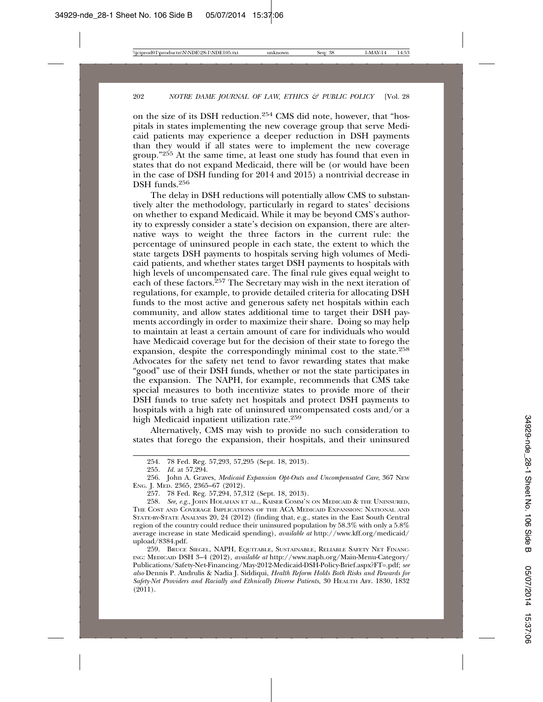on the size of its DSH reduction.254 CMS did note, however, that "hospitals in states implementing the new coverage group that serve Medicaid patients may experience a deeper reduction in DSH payments than they would if all states were to implement the new coverage group."255 At the same time, at least one study has found that even in states that do not expand Medicaid, there will be (or would have been in the case of DSH funding for 2014 and 2015) a nontrivial decrease in DSH funds.256

The delay in DSH reductions will potentially allow CMS to substantively alter the methodology, particularly in regard to states' decisions on whether to expand Medicaid. While it may be beyond CMS's authority to expressly consider a state's decision on expansion, there are alternative ways to weight the three factors in the current rule: the percentage of uninsured people in each state, the extent to which the state targets DSH payments to hospitals serving high volumes of Medicaid patients, and whether states target DSH payments to hospitals with high levels of uncompensated care. The final rule gives equal weight to each of these factors.<sup>257</sup> The Secretary may wish in the next iteration of regulations, for example, to provide detailed criteria for allocating DSH funds to the most active and generous safety net hospitals within each community, and allow states additional time to target their DSH payments accordingly in order to maximize their share. Doing so may help to maintain at least a certain amount of care for individuals who would have Medicaid coverage but for the decision of their state to forego the expansion, despite the correspondingly minimal cost to the state.258 Advocates for the safety net tend to favor rewarding states that make "good" use of their DSH funds, whether or not the state participates in the expansion. The NAPH, for example, recommends that CMS take special measures to both incentivize states to provide more of their DSH funds to true safety net hospitals and protect DSH payments to hospitals with a high rate of uninsured uncompensated costs and/or a high Medicaid inpatient utilization rate.259

Alternatively, CMS may wish to provide no such consideration to states that forego the expansion, their hospitals, and their uninsured

<sup>254. 78</sup> Fed. Reg. 57,293, 57,295 (Sept. 18, 2013).

<sup>255.</sup> *Id.* at 57,294.

<sup>256.</sup> John A. Graves, *Medicaid Expansion Opt-Outs and Uncompensated Care*, 367 NEW ENG. J. MED. 2365, 2365–67 (2012).

<sup>257. 78</sup> Fed. Reg. 57,294, 57,312 (Sept. 18, 2013).

<sup>258.</sup> *See, e.g.*, JOHN HOLAHAN ET AL., KAISER COMM'N ON MEDICAID & THE UNINSURED, THE COST AND COVERAGE IMPLICATIONS OF THE ACA MEDICAID EXPANSION: NATIONAL AND STATE-BY-STATE ANALYSIS 20, 24 (2012) (finding that, e.g., states in the East South Central region of the country could reduce their uninsured population by 58.3% with only a 5.8% average increase in state Medicaid spending), *available at* http://www.kff.org/medicaid/ upload/8384.pdf.

<sup>259.</sup> BRUCE SIEGEL, NAPH, EQUITABLE, SUSTAINABLE, RELIABLE SAFETY NET FINANC-ING: MEDICAID DSH 3–4 (2012), *available at* http://www.naph.org/Main-Menu-Category/ Publications/Safety-Net-Financing/May-2012-Medicaid-DSH-Policy-Brief.aspx?FT=.pdf; *see also* Dennis P. Andrulis & Nadia J. Siddiqui, *Health Reform Holds Both Risks and Rewards for Safety-Net Providers and Racially and Ethnically Diverse Patients*, 30 HEALTH AFF. 1830, 1832 (2011).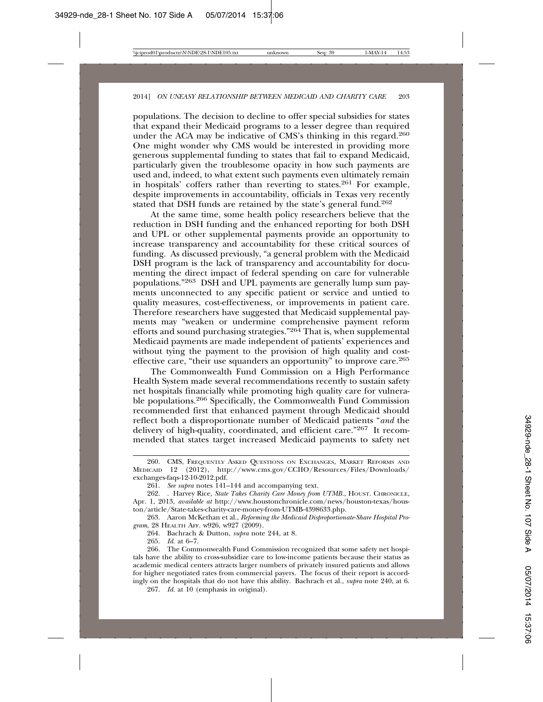populations. The decision to decline to offer special subsidies for states that expand their Medicaid programs to a lesser degree than required under the ACA may be indicative of CMS's thinking in this regard.<sup>260</sup> One might wonder why CMS would be interested in providing more generous supplemental funding to states that fail to expand Medicaid, particularly given the troublesome opacity in how such payments are used and, indeed, to what extent such payments even ultimately remain in hospitals' coffers rather than reverting to states.261 For example, despite improvements in accountability, officials in Texas very recently stated that DSH funds are retained by the state's general fund.262

At the same time, some health policy researchers believe that the reduction in DSH funding and the enhanced reporting for both DSH and UPL or other supplemental payments provide an opportunity to increase transparency and accountability for these critical sources of funding. As discussed previously, "a general problem with the Medicaid DSH program is the lack of transparency and accountability for documenting the direct impact of federal spending on care for vulnerable populations."263 DSH and UPL payments are generally lump sum payments unconnected to any specific patient or service and untied to quality measures, cost-effectiveness, or improvements in patient care. Therefore researchers have suggested that Medicaid supplemental payments may "weaken or undermine comprehensive payment reform efforts and sound purchasing strategies."264 That is, when supplemental Medicaid payments are made independent of patients' experiences and without tying the payment to the provision of high quality and costeffective care, "their use squanders an opportunity" to improve care.<sup>265</sup>

The Commonwealth Fund Commission on a High Performance Health System made several recommendations recently to sustain safety net hospitals financially while promoting high quality care for vulnerable populations.266 Specifically, the Commonwealth Fund Commission recommended first that enhanced payment through Medicaid should reflect both a disproportionate number of Medicaid patients "*and* the delivery of high-quality, coordinated, and efficient care."267 It recommended that states target increased Medicaid payments to safety net

<sup>260.</sup> CMS, FREQUENTLY ASKED QUESTIONS ON EXCHANGES, MARKET REFORMS AND MEDICAID 12 (2012), http://www.cms.gov/CCIIO/Resources/Files/Downloads/ exchanges-faqs-12-10-2012.pdf.

<sup>261.</sup> *See supra* notes 141–144 and accompanying text.

<sup>262. .</sup> Harvey Rice, *State Takes Charity Care Money from UTMB.*, HOUST. CHRONICLE, Apr. 1, 2013, *available at* http://www.houstonchronicle.com/news/houston-texas/houston/article/State-takes-charity-care-money-from-UTMB-4398633.php.

<sup>263.</sup> Aaron McKethan et al., *Reforming the Medicaid Disproportionate-Share Hospital Program*, 28 HEALTH AFF. w926, w927 (2009).

<sup>264.</sup> Bachrach & Dutton, *supra* note 244, at 8.

<sup>265.</sup> *Id.* at 6–7.

<sup>266.</sup> The Commonwealth Fund Commission recognized that some safety net hospitals have the ability to cross-subsidize care to low-income patients because their status as academic medical centers attracts larger numbers of privately insured patients and allows for higher negotiated rates from commercial payers. The focus of their report is accordingly on the hospitals that do not have this ability. Bachrach et al., *supra* note 240, at 6.

<sup>267.</sup> *Id.* at 10 (emphasis in original).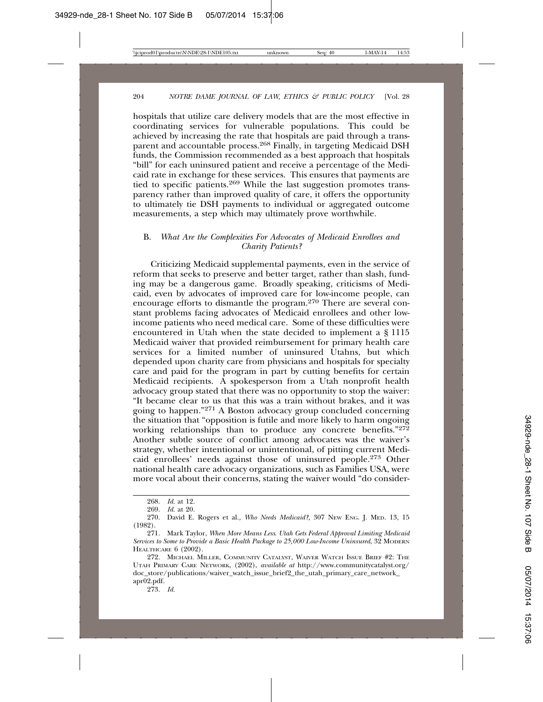hospitals that utilize care delivery models that are the most effective in coordinating services for vulnerable populations. This could be achieved by increasing the rate that hospitals are paid through a transparent and accountable process.<sup>268</sup> Finally, in targeting Medicaid DSH funds, the Commission recommended as a best approach that hospitals "bill" for each uninsured patient and receive a percentage of the Medicaid rate in exchange for these services. This ensures that payments are tied to specific patients.<sup>269</sup> While the last suggestion promotes transparency rather than improved quality of care, it offers the opportunity to ultimately tie DSH payments to individual or aggregated outcome measurements, a step which may ultimately prove worthwhile.

#### B. *What Are the Complexities For Advocates of Medicaid Enrollees and Charity Patients?*

Criticizing Medicaid supplemental payments, even in the service of reform that seeks to preserve and better target, rather than slash, funding may be a dangerous game. Broadly speaking, criticisms of Medicaid, even by advocates of improved care for low-income people, can encourage efforts to dismantle the program.<sup>270</sup> There are several constant problems facing advocates of Medicaid enrollees and other lowincome patients who need medical care. Some of these difficulties were encountered in Utah when the state decided to implement a § 1115 Medicaid waiver that provided reimbursement for primary health care services for a limited number of uninsured Utahns, but which depended upon charity care from physicians and hospitals for specialty care and paid for the program in part by cutting benefits for certain Medicaid recipients. A spokesperson from a Utah nonprofit health advocacy group stated that there was no opportunity to stop the waiver: "It became clear to us that this was a train without brakes, and it was going to happen."271 A Boston advocacy group concluded concerning the situation that "opposition is futile and more likely to harm ongoing working relationships than to produce any concrete benefits."272 Another subtle source of conflict among advocates was the waiver's strategy, whether intentional or unintentional, of pitting current Medicaid enrollees' needs against those of uninsured people.273 Other national health care advocacy organizations, such as Families USA, were more vocal about their concerns, stating the waiver would "do consider-

273. *Id.*

<sup>268.</sup> *Id.* at 12.

<sup>269.</sup> *Id.* at 20.

<sup>270.</sup> David E. Rogers et al.*, Who Needs Medicaid?,* 307 NEW ENG. J. MED. 13, 15 (1982).

<sup>271.</sup> Mark Taylor, *When More Means Less*. *Utah Gets Federal Approval Limiting Medicaid Services to Some to Provide a Basic Health Package to 25,000 Low-Income Uninsured*, 32 MODERN HEALTHCARE 6 (2002).

<sup>272.</sup> MICHAEL MILLER, COMMUNITY CATALYST, WAIVER WATCH ISSUE BRIEF #2: THE UTAH PRIMARY CARE NETWORK, (2002), *available at* http://www.communitycatalyst.org/ doc\_store/publications/waiver\_watch\_issue\_brief2\_the\_utah\_primary\_care\_network\_ apr02.pdf.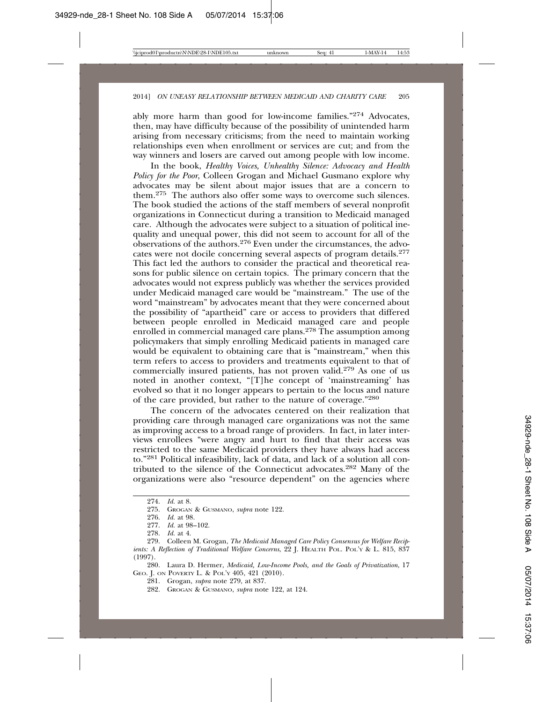ably more harm than good for low-income families."274 Advocates, then, may have difficulty because of the possibility of unintended harm arising from necessary criticisms; from the need to maintain working relationships even when enrollment or services are cut; and from the way winners and losers are carved out among people with low income.

In the book, *Healthy Voices, Unhealthy Silence: Advocacy and Health Policy for the Poor*, Colleen Grogan and Michael Gusmano explore why advocates may be silent about major issues that are a concern to them.275 The authors also offer some ways to overcome such silences. The book studied the actions of the staff members of several nonprofit organizations in Connecticut during a transition to Medicaid managed care. Although the advocates were subject to a situation of political inequality and unequal power, this did not seem to account for all of the observations of the authors.276 Even under the circumstances, the advocates were not docile concerning several aspects of program details.277 This fact led the authors to consider the practical and theoretical reasons for public silence on certain topics. The primary concern that the advocates would not express publicly was whether the services provided under Medicaid managed care would be "mainstream." The use of the word "mainstream" by advocates meant that they were concerned about the possibility of "apartheid" care or access to providers that differed between people enrolled in Medicaid managed care and people enrolled in commercial managed care plans.<sup>278</sup> The assumption among policymakers that simply enrolling Medicaid patients in managed care would be equivalent to obtaining care that is "mainstream," when this term refers to access to providers and treatments equivalent to that of commercially insured patients, has not proven valid.279 As one of us noted in another context, "[T]he concept of 'mainstreaming' has evolved so that it no longer appears to pertain to the locus and nature of the care provided, but rather to the nature of coverage."280

The concern of the advocates centered on their realization that providing care through managed care organizations was not the same as improving access to a broad range of providers. In fact, in later interviews enrollees "were angry and hurt to find that their access was restricted to the same Medicaid providers they have always had access to."281 Political infeasibility, lack of data, and lack of a solution all contributed to the silence of the Connecticut advocates.282 Many of the organizations were also "resource dependent" on the agencies where

280. Laura D. Hermer, *Medicaid, Low-Income Pools, and the Goals of Privatization*, 17 GEO. J. ON POVERTY L. & POL'Y 405, 421 (2010).

<sup>274.</sup> *Id.* at 8.

<sup>275.</sup> GROGAN & GUSMANO, *supra* note 122.

<sup>276.</sup> *Id.* at 98.

<sup>277.</sup> *Id.* at 98–102.

<sup>278.</sup> *Id.* at 4.

<sup>279.</sup> Colleen M. Grogan, *The Medicaid Managed Care Policy Consensus for Welfare Recipients: A Reflection of Traditional Welfare Concerns*, 22 J. HEALTH POL. POL'Y & L. 815, 837 (1997).

<sup>281.</sup> Grogan, *supra* note 279, at 837.

<sup>282.</sup> GROGAN & GUSMANO, *supra* note 122, at 124.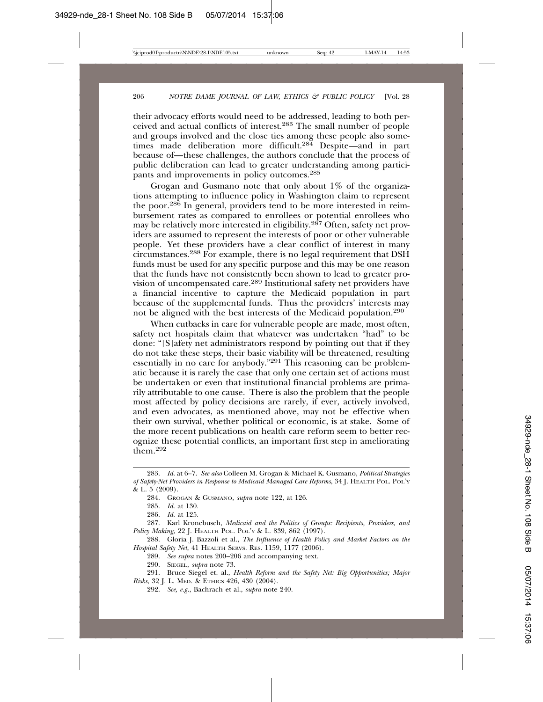their advocacy efforts would need to be addressed, leading to both perceived and actual conflicts of interest.283 The small number of people and groups involved and the close ties among these people also sometimes made deliberation more difficult.<sup>284</sup> Despite—and in part because of—these challenges, the authors conclude that the process of public deliberation can lead to greater understanding among participants and improvements in policy outcomes.<sup>285</sup>

Grogan and Gusmano note that only about 1% of the organizations attempting to influence policy in Washington claim to represent the poor.286 In general, providers tend to be more interested in reimbursement rates as compared to enrollees or potential enrollees who may be relatively more interested in eligibility.287 Often, safety net providers are assumed to represent the interests of poor or other vulnerable people. Yet these providers have a clear conflict of interest in many circumstances.288 For example, there is no legal requirement that DSH funds must be used for any specific purpose and this may be one reason that the funds have not consistently been shown to lead to greater provision of uncompensated care.289 Institutional safety net providers have a financial incentive to capture the Medicaid population in part because of the supplemental funds. Thus the providers' interests may not be aligned with the best interests of the Medicaid population.290

When cutbacks in care for vulnerable people are made, most often, safety net hospitals claim that whatever was undertaken "had" to be done: "[S]afety net administrators respond by pointing out that if they do not take these steps, their basic viability will be threatened, resulting essentially in no care for anybody."291 This reasoning can be problematic because it is rarely the case that only one certain set of actions must be undertaken or even that institutional financial problems are primarily attributable to one cause. There is also the problem that the people most affected by policy decisions are rarely, if ever, actively involved, and even advocates, as mentioned above, may not be effective when their own survival, whether political or economic, is at stake. Some of the more recent publications on health care reform seem to better recognize these potential conflicts, an important first step in ameliorating them.<sup>292</sup>

<sup>283.</sup> *Id.* at 6–7. *See also* Colleen M. Grogan & Michael K. Gusmano, *Political Strategies of Safety-Net Providers in Response to Medicaid Managed Care Reforms*, 34 J. HEALTH POL. POL'Y & L. 5 (2009).

<sup>284.</sup> GROGAN & GUSMANO, *supra* note 122, at 126.

<sup>285.</sup> *Id.* at 130.

<sup>286.</sup> *Id.* at 125.

<sup>287.</sup> Karl Kronebusch, *Medicaid and the Politics of Groups: Recipients, Providers, and Policy Making*, 22 J. HEALTH POL. POL'Y & L. 839, 862 (1997).

<sup>288.</sup> Gloria J. Bazzoli et al., *The Influence of Health Policy and Market Factors on the Hospital Safety Net*, 41 HEALTH SERVS. RES. 1159, 1177 (2006).

<sup>289.</sup> *See supra* notes 200–206 and accompanying text.

<sup>290.</sup> SIEGEL, *supra* note 73.

<sup>291.</sup> Bruce Siegel et. al., *Health Reform and the Safety Net: Big Opportunities; Major Risks*, 32 J. L. MED. & ETHICS 426, 430 (2004).

<sup>292.</sup> *See, e.g.*, Bachrach et al., *supra* note 240.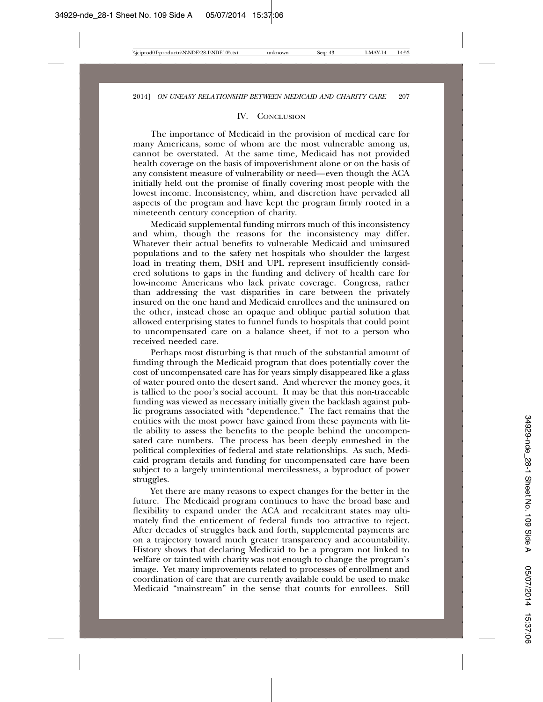#### IV. CONCLUSION

The importance of Medicaid in the provision of medical care for many Americans, some of whom are the most vulnerable among us, cannot be overstated. At the same time, Medicaid has not provided health coverage on the basis of impoverishment alone or on the basis of any consistent measure of vulnerability or need—even though the ACA initially held out the promise of finally covering most people with the lowest income. Inconsistency, whim, and discretion have pervaded all aspects of the program and have kept the program firmly rooted in a nineteenth century conception of charity.

Medicaid supplemental funding mirrors much of this inconsistency and whim, though the reasons for the inconsistency may differ. Whatever their actual benefits to vulnerable Medicaid and uninsured populations and to the safety net hospitals who shoulder the largest load in treating them, DSH and UPL represent insufficiently considered solutions to gaps in the funding and delivery of health care for low-income Americans who lack private coverage. Congress, rather than addressing the vast disparities in care between the privately insured on the one hand and Medicaid enrollees and the uninsured on the other, instead chose an opaque and oblique partial solution that allowed enterprising states to funnel funds to hospitals that could point to uncompensated care on a balance sheet, if not to a person who received needed care.

Perhaps most disturbing is that much of the substantial amount of funding through the Medicaid program that does potentially cover the cost of uncompensated care has for years simply disappeared like a glass of water poured onto the desert sand. And wherever the money goes, it is tallied to the poor's social account. It may be that this non-traceable funding was viewed as necessary initially given the backlash against public programs associated with "dependence." The fact remains that the entities with the most power have gained from these payments with little ability to assess the benefits to the people behind the uncompensated care numbers. The process has been deeply enmeshed in the political complexities of federal and state relationships. As such, Medicaid program details and funding for uncompensated care have been subject to a largely unintentional mercilessness, a byproduct of power struggles.

Yet there are many reasons to expect changes for the better in the future. The Medicaid program continues to have the broad base and flexibility to expand under the ACA and recalcitrant states may ultimately find the enticement of federal funds too attractive to reject. After decades of struggles back and forth, supplemental payments are on a trajectory toward much greater transparency and accountability. History shows that declaring Medicaid to be a program not linked to welfare or tainted with charity was not enough to change the program's image. Yet many improvements related to processes of enrollment and coordination of care that are currently available could be used to make Medicaid "mainstream" in the sense that counts for enrollees. Still